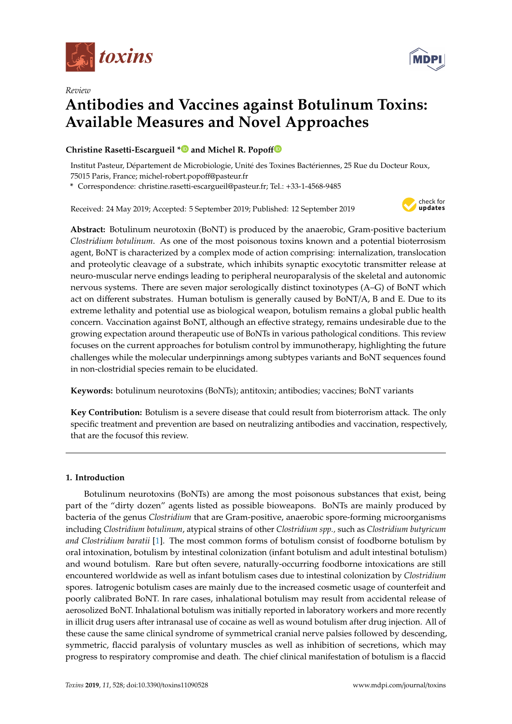

*Review*



# **Antibodies and Vaccines against Botulinum Toxins: Available Measures and Novel Approaches**

# **Christine Rasetti-Escargueil [\\*](https://orcid.org/0000-0003-0661-695X) and Michel R. Popo**[ff](https://orcid.org/0000-0001-9305-8989)

Institut Pasteur, Département de Microbiologie, Unité des Toxines Bactériennes, 25 Rue du Docteur Roux, 75015 Paris, France; michel-robert.popoff@pasteur.fr

**\*** Correspondence: christine.rasetti-escargueil@pasteur.fr; Tel.: +33-1-4568-9485

Received: 24 May 2019; Accepted: 5 September 2019; Published: 12 September 2019



**Abstract:** Botulinum neurotoxin (BoNT) is produced by the anaerobic, Gram-positive bacterium *Clostridium botulinum*. As one of the most poisonous toxins known and a potential bioterrosism agent, BoNT is characterized by a complex mode of action comprising: internalization, translocation and proteolytic cleavage of a substrate, which inhibits synaptic exocytotic transmitter release at neuro-muscular nerve endings leading to peripheral neuroparalysis of the skeletal and autonomic nervous systems. There are seven major serologically distinct toxinotypes (A–G) of BoNT which act on different substrates. Human botulism is generally caused by BoNT/A, B and E. Due to its extreme lethality and potential use as biological weapon, botulism remains a global public health concern. Vaccination against BoNT, although an effective strategy, remains undesirable due to the growing expectation around therapeutic use of BoNTs in various pathological conditions. This review focuses on the current approaches for botulism control by immunotherapy, highlighting the future challenges while the molecular underpinnings among subtypes variants and BoNT sequences found in non-clostridial species remain to be elucidated.

**Keywords:** botulinum neurotoxins (BoNTs); antitoxin; antibodies; vaccines; BoNT variants

**Key Contribution:** Botulism is a severe disease that could result from bioterrorism attack. The only specific treatment and prevention are based on neutralizing antibodies and vaccination, respectively, that are the focusof this review.

# **1. Introduction**

Botulinum neurotoxins (BoNTs) are among the most poisonous substances that exist, being part of the "dirty dozen" agents listed as possible bioweapons. BoNTs are mainly produced by bacteria of the genus *Clostridium* that are Gram-positive, anaerobic spore-forming microorganisms including *Clostridium botulinum*, atypical strains of other *Clostridium spp.,* such as *Clostridium butyricum and Clostridium baratii* [\[1\]](#page-15-0). The most common forms of botulism consist of foodborne botulism by oral intoxination, botulism by intestinal colonization (infant botulism and adult intestinal botulism) and wound botulism. Rare but often severe, naturally-occurring foodborne intoxications are still encountered worldwide as well as infant botulism cases due to intestinal colonization by *Clostridium* spores. Iatrogenic botulism cases are mainly due to the increased cosmetic usage of counterfeit and poorly calibrated BoNT. In rare cases, inhalational botulism may result from accidental release of aerosolized BoNT. Inhalational botulism was initially reported in laboratory workers and more recently in illicit drug users after intranasal use of cocaine as well as wound botulism after drug injection. All of these cause the same clinical syndrome of symmetrical cranial nerve palsies followed by descending, symmetric, flaccid paralysis of voluntary muscles as well as inhibition of secretions, which may progress to respiratory compromise and death. The chief clinical manifestation of botulism is a flaccid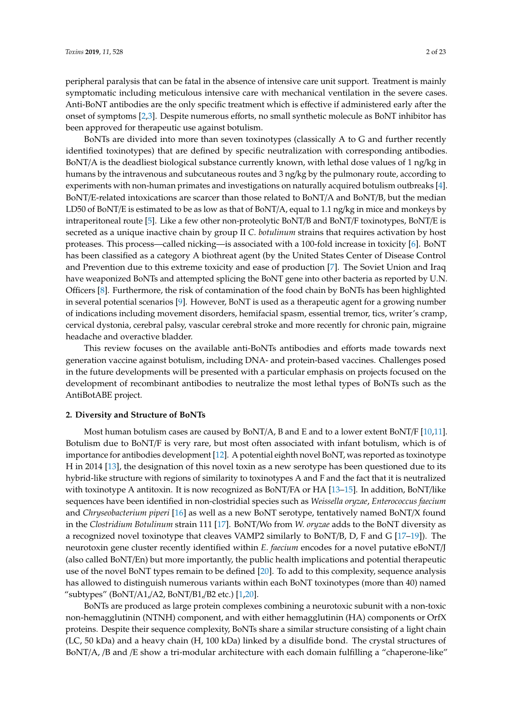peripheral paralysis that can be fatal in the absence of intensive care unit support. Treatment is mainly symptomatic including meticulous intensive care with mechanical ventilation in the severe cases. Anti-BoNT antibodies are the only specific treatment which is effective if administered early after the onset of symptoms [\[2,](#page-15-1)[3\]](#page-15-2). Despite numerous efforts, no small synthetic molecule as BoNT inhibitor has been approved for therapeutic use against botulism.

BoNTs are divided into more than seven toxinotypes (classically A to G and further recently identified toxinotypes) that are defined by specific neutralization with corresponding antibodies. BoNT/A is the deadliest biological substance currently known, with lethal dose values of 1 ng/kg in humans by the intravenous and subcutaneous routes and 3 ng/kg by the pulmonary route, according to experiments with non-human primates and investigations on naturally acquired botulism outbreaks [\[4\]](#page-15-3). BoNT/E-related intoxications are scarcer than those related to BoNT/A and BoNT/B, but the median LD50 of BoNT/E is estimated to be as low as that of BoNT/A, equal to 1.1 ng/kg in mice and monkeys by intraperitoneal route [\[5\]](#page-15-4). Like a few other non-proteolytic BoNT/B and BoNT/F toxinotypes, BoNT/E is secreted as a unique inactive chain by group II *C. botulinum* strains that requires activation by host proteases. This process—called nicking—is associated with a 100-fold increase in toxicity [\[6\]](#page-16-0). BoNT has been classified as a category A biothreat agent (by the United States Center of Disease Control and Prevention due to this extreme toxicity and ease of production [\[7\]](#page-16-1). The Soviet Union and Iraq have weaponized BoNTs and attempted splicing the BoNT gene into other bacteria as reported by U.N. Officers [\[8\]](#page-16-2). Furthermore, the risk of contamination of the food chain by BoNTs has been highlighted in several potential scenarios [\[9\]](#page-16-3). However, BoNT is used as a therapeutic agent for a growing number of indications including movement disorders, hemifacial spasm, essential tremor, tics, writer's cramp, cervical dystonia, cerebral palsy, vascular cerebral stroke and more recently for chronic pain, migraine headache and overactive bladder.

This review focuses on the available anti-BoNTs antibodies and efforts made towards next generation vaccine against botulism, including DNA- and protein-based vaccines. Challenges posed in the future developments will be presented with a particular emphasis on projects focused on the development of recombinant antibodies to neutralize the most lethal types of BoNTs such as the AntiBotABE project.

#### **2. Diversity and Structure of BoNTs**

Most human botulism cases are caused by BoNT/A, B and E and to a lower extent BoNT/F [\[10](#page-16-4)[,11\]](#page-16-5). Botulism due to BoNT/F is very rare, but most often associated with infant botulism, which is of importance for antibodies development [\[12\]](#page-16-6). A potential eighth novel BoNT, was reported as toxinotype H in 2014 [\[13\]](#page-16-7), the designation of this novel toxin as a new serotype has been questioned due to its hybrid-like structure with regions of similarity to toxinotypes A and F and the fact that it is neutralized with toxinotype A antitoxin. It is now recognized as BoNT/FA or HA [\[13–](#page-16-7)[15\]](#page-16-8). In addition, BoNT/like sequences have been identified in non-clostridial species such as *Weissella oryzae*, *Enterococcus faecium* and *Chryseobacterium piperi* [\[16\]](#page-16-9) as well as a new BoNT serotype, tentatively named BoNT/X found in the *Clostridium Botulinum* strain 111 [\[17\]](#page-16-10). BoNT/Wo from *W. oryzae* adds to the BoNT diversity as a recognized novel toxinotype that cleaves VAMP2 similarly to BoNT/B, D, F and G [\[17](#page-16-10)[–19\]](#page-16-11)). The neurotoxin gene cluster recently identified within *E. faecium* encodes for a novel putative eBoNT/J (also called BoNT/En) but more importantly, the public health implications and potential therapeutic use of the novel BoNT types remain to be defined [\[20\]](#page-16-12). To add to this complexity, sequence analysis has allowed to distinguish numerous variants within each BoNT toxinotypes (more than 40) named "subtypes" (BoNT/A1,  $\vert$ A2, BoNT/B1,  $\vert$ B2 etc.) [\[1,](#page-15-0)[20\]](#page-16-12).

BoNTs are produced as large protein complexes combining a neurotoxic subunit with a non-toxic non-hemagglutinin (NTNH) component, and with either hemagglutinin (HA) components or OrfX proteins. Despite their sequence complexity, BoNTs share a similar structure consisting of a light chain (LC, 50 kDa) and a heavy chain (H, 100 kDa) linked by a disulfide bond. The crystal structures of BoNT/A, /B and /E show a tri-modular architecture with each domain fulfilling a "chaperone-like"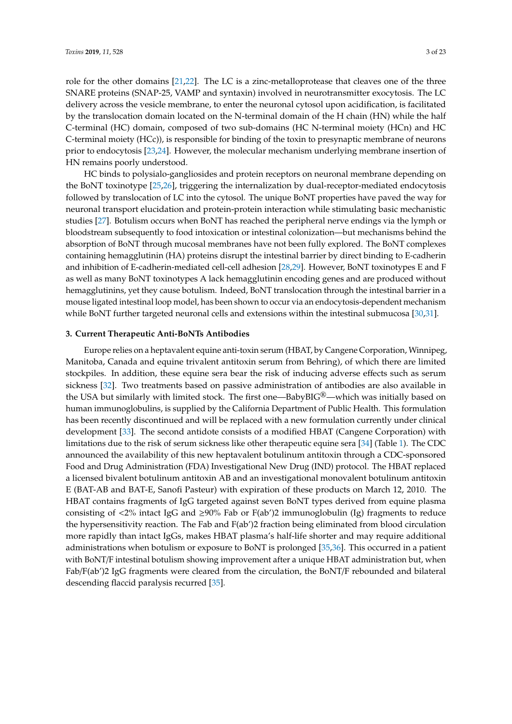role for the other domains [\[21,](#page-16-13)[22\]](#page-16-14). The LC is a zinc-metalloprotease that cleaves one of the three SNARE proteins (SNAP-25, VAMP and syntaxin) involved in neurotransmitter exocytosis. The LC delivery across the vesicle membrane, to enter the neuronal cytosol upon acidification, is facilitated by the translocation domain located on the N-terminal domain of the H chain (HN) while the half C-terminal (HC) domain, composed of two sub-domains (HC N-terminal moiety (HCn) and HC C-terminal moiety (HCc)), is responsible for binding of the toxin to presynaptic membrane of neurons prior to endocytosis [\[23](#page-16-15)[,24\]](#page-16-16). However, the molecular mechanism underlying membrane insertion of HN remains poorly understood.

HC binds to polysialo-gangliosides and protein receptors on neuronal membrane depending on the BoNT toxinotype [\[25](#page-16-17)[,26\]](#page-16-18), triggering the internalization by dual-receptor-mediated endocytosis followed by translocation of LC into the cytosol. The unique BoNT properties have paved the way for neuronal transport elucidation and protein-protein interaction while stimulating basic mechanistic studies [\[27\]](#page-16-19). Botulism occurs when BoNT has reached the peripheral nerve endings via the lymph or bloodstream subsequently to food intoxication or intestinal colonization—but mechanisms behind the absorption of BoNT through mucosal membranes have not been fully explored. The BoNT complexes containing hemagglutinin (HA) proteins disrupt the intestinal barrier by direct binding to E-cadherin and inhibition of E-cadherin-mediated cell-cell adhesion [\[28](#page-17-0)[,29\]](#page-17-1). However, BoNT toxinotypes E and F as well as many BoNT toxinotypes A lack hemagglutinin encoding genes and are produced without hemagglutinins, yet they cause botulism. Indeed, BoNT translocation through the intestinal barrier in a mouse ligated intestinal loop model, has been shown to occur via an endocytosis-dependent mechanism while BoNT further targeted neuronal cells and extensions within the intestinal submucosa [\[30](#page-17-2)[,31\]](#page-17-3).

#### **3. Current Therapeutic Anti-BoNTs Antibodies**

Europe relies on a heptavalent equine anti-toxin serum (HBAT, by Cangene Corporation, Winnipeg, Manitoba, Canada and equine trivalent antitoxin serum from Behring), of which there are limited stockpiles. In addition, these equine sera bear the risk of inducing adverse effects such as serum sickness [\[32\]](#page-17-4). Two treatments based on passive administration of antibodies are also available in the USA but similarly with limited stock. The first one—BabyBIG®—which was initially based on human immunoglobulins, is supplied by the California Department of Public Health. This formulation has been recently discontinued and will be replaced with a new formulation currently under clinical development [\[33\]](#page-17-5). The second antidote consists of a modified HBAT (Cangene Corporation) with limitations due to the risk of serum sickness like other therapeutic equine sera [\[34\]](#page-17-6) (Table [1\)](#page-3-0). The CDC announced the availability of this new heptavalent botulinum antitoxin through a CDC-sponsored Food and Drug Administration (FDA) Investigational New Drug (IND) protocol. The HBAT replaced a licensed bivalent botulinum antitoxin AB and an investigational monovalent botulinum antitoxin E (BAT-AB and BAT-E, Sanofi Pasteur) with expiration of these products on March 12, 2010. The HBAT contains fragments of IgG targeted against seven BoNT types derived from equine plasma consisting of  $\langle 2\%$  intact IgG and  $\geq 90\%$  Fab or F(ab')2 immunoglobulin (Ig) fragments to reduce the hypersensitivity reaction. The Fab and F(ab')2 fraction being eliminated from blood circulation more rapidly than intact IgGs, makes HBAT plasma's half-life shorter and may require additional administrations when botulism or exposure to BoNT is prolonged [\[35](#page-17-7)[,36\]](#page-17-8). This occurred in a patient with BoNT/F intestinal botulism showing improvement after a unique HBAT administration but, when Fab/F(ab')2 IgG fragments were cleared from the circulation, the BoNT/F rebounded and bilateral descending flaccid paralysis recurred [\[35\]](#page-17-7).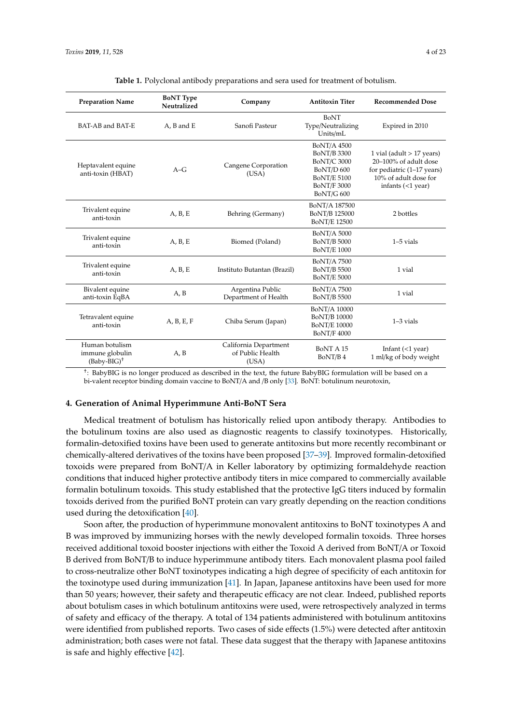<span id="page-3-0"></span>

| <b>Preparation Name</b>                                     | <b>BoNT</b> Type<br>Neutralized | Company                                            | <b>Antitoxin Titer</b>                                                                                                                        | <b>Recommended Dose</b>                                                                                                               |
|-------------------------------------------------------------|---------------------------------|----------------------------------------------------|-----------------------------------------------------------------------------------------------------------------------------------------------|---------------------------------------------------------------------------------------------------------------------------------------|
| BAT-AB and BAT-E                                            | A. B and E                      | Sanofi Pasteur                                     | <b>BoNT</b><br>Type/Neutralizing<br>Units/mL                                                                                                  | Expired in 2010                                                                                                                       |
| Heptavalent equine<br>anti-toxin (HBAT)                     | $A-G$                           | Cangene Corporation<br>(USA)                       | <b>BoNT/A 4500</b><br><b>BoNT/B 3300</b><br><b>BoNT/C 3000</b><br>BoNT/D 600<br><b>BoNT/E 5100</b><br><b>BoNT/F 3000</b><br><b>BoNT/G 600</b> | 1 vial (adult $> 17$ years)<br>20-100% of adult dose<br>for pediatric $(1-17$ years)<br>10% of adult dose for<br>infants $(<$ 1 year) |
| Trivalent equine<br>anti-toxin                              | A, B, E                         | Behring (Germany)                                  | BoNT/A 187500<br>BoNT/B 125000<br><b>BoNT/E 12500</b>                                                                                         | 2 bottles                                                                                                                             |
| Trivalent equine<br>anti-toxin                              | A, B, E                         | Biomed (Poland)                                    | <b>BoNT/A 5000</b><br><b>BoNT/B 5000</b><br><b>BoNT/E 1000</b>                                                                                | $1-5$ vials                                                                                                                           |
| Trivalent equine<br>anti-toxin                              | A, B, E                         | Instituto Butantan (Brazil)                        | <b>BoNT/A 7500</b><br><b>BoNT/B 5500</b><br><b>BoNT/E 5000</b>                                                                                | 1 vial                                                                                                                                |
| Bivalent equine<br>anti-toxin EqBA                          | A, B                            | Argentina Public<br>Department of Health           | <b>BoNT/A 7500</b><br><b>BoNT/B 5500</b>                                                                                                      | 1 vial                                                                                                                                |
| Tetravalent equine<br>anti-toxin                            | A, B, E, F                      | Chiba Serum (Japan)                                | <b>BoNT/A 10000</b><br><b>BoNT/B 10000</b><br><b>BoNT/E 10000</b><br><b>BoNT/F 4000</b>                                                       | $1-3$ vials                                                                                                                           |
| Human botulism<br>immune globulin<br>$(Baby-BIG)^{\dagger}$ | A, B                            | California Department<br>of Public Health<br>(USA) | BoNT A 15<br>BoNT/B 4                                                                                                                         | Infant $(<1$ year)<br>1 ml/kg of body weight                                                                                          |

**Table 1.** Polyclonal antibody preparations and sera used for treatment of botulism.

<sup>†</sup>: BabyBIG is no longer produced as described in the text, the future BabyBIG formulation will be based on a bi-valent receptor binding domain vaccine to BoNT/A and /B only [\[33\]](#page-17-5). BoNT: botulinum neurotoxin,

## **4. Generation of Animal Hyperimmune Anti-BoNT Sera**

Medical treatment of botulism has historically relied upon antibody therapy. Antibodies to the botulinum toxins are also used as diagnostic reagents to classify toxinotypes. Historically, formalin-detoxified toxins have been used to generate antitoxins but more recently recombinant or chemically-altered derivatives of the toxins have been proposed [\[37–](#page-17-9)[39\]](#page-17-10). Improved formalin-detoxified toxoids were prepared from BoNT/A in Keller laboratory by optimizing formaldehyde reaction conditions that induced higher protective antibody titers in mice compared to commercially available formalin botulinum toxoids. This study established that the protective IgG titers induced by formalin toxoids derived from the purified BoNT protein can vary greatly depending on the reaction conditions used during the detoxification [\[40\]](#page-17-11).

Soon after, the production of hyperimmune monovalent antitoxins to BoNT toxinotypes A and B was improved by immunizing horses with the newly developed formalin toxoids. Three horses received additional toxoid booster injections with either the Toxoid A derived from BoNT/A or Toxoid B derived from BoNT/B to induce hyperimmune antibody titers. Each monovalent plasma pool failed to cross-neutralize other BoNT toxinotypes indicating a high degree of specificity of each antitoxin for the toxinotype used during immunization [\[41\]](#page-17-12). In Japan, Japanese antitoxins have been used for more than 50 years; however, their safety and therapeutic efficacy are not clear. Indeed, published reports about botulism cases in which botulinum antitoxins were used, were retrospectively analyzed in terms of safety and efficacy of the therapy. A total of 134 patients administered with botulinum antitoxins were identified from published reports. Two cases of side effects (1.5%) were detected after antitoxin administration; both cases were not fatal. These data suggest that the therapy with Japanese antitoxins is safe and highly effective [\[42\]](#page-17-13).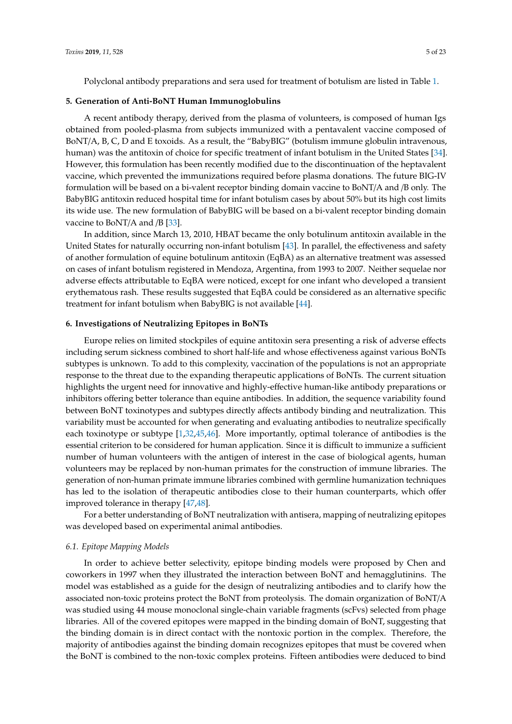#### **5. Generation of Anti-BoNT Human Immunoglobulins**

A recent antibody therapy, derived from the plasma of volunteers, is composed of human Igs obtained from pooled-plasma from subjects immunized with a pentavalent vaccine composed of BoNT/A, B, C, D and E toxoids. As a result, the "BabyBIG" (botulism immune globulin intravenous, human) was the antitoxin of choice for specific treatment of infant botulism in the United States [\[34\]](#page-17-6). However, this formulation has been recently modified due to the discontinuation of the heptavalent vaccine, which prevented the immunizations required before plasma donations. The future BIG-IV formulation will be based on a bi-valent receptor binding domain vaccine to BoNT/A and /B only. The BabyBIG antitoxin reduced hospital time for infant botulism cases by about 50% but its high cost limits its wide use. The new formulation of BabyBIG will be based on a bi-valent receptor binding domain vaccine to BoNT/A and /B [\[33\]](#page-17-5).

In addition, since March 13, 2010, HBAT became the only botulinum antitoxin available in the United States for naturally occurring non-infant botulism [\[43\]](#page-17-14). In parallel, the effectiveness and safety of another formulation of equine botulinum antitoxin (EqBA) as an alternative treatment was assessed on cases of infant botulism registered in Mendoza, Argentina, from 1993 to 2007. Neither sequelae nor adverse effects attributable to EqBA were noticed, except for one infant who developed a transient erythematous rash. These results suggested that EqBA could be considered as an alternative specific treatment for infant botulism when BabyBIG is not available [\[44\]](#page-17-15).

#### **6. Investigations of Neutralizing Epitopes in BoNTs**

Europe relies on limited stockpiles of equine antitoxin sera presenting a risk of adverse effects including serum sickness combined to short half-life and whose effectiveness against various BoNTs subtypes is unknown. To add to this complexity, vaccination of the populations is not an appropriate response to the threat due to the expanding therapeutic applications of BoNTs. The current situation highlights the urgent need for innovative and highly-effective human-like antibody preparations or inhibitors offering better tolerance than equine antibodies. In addition, the sequence variability found between BoNT toxinotypes and subtypes directly affects antibody binding and neutralization. This variability must be accounted for when generating and evaluating antibodies to neutralize specifically each toxinotype or subtype [\[1](#page-15-0)[,32](#page-17-4)[,45](#page-17-16)[,46\]](#page-17-17). More importantly, optimal tolerance of antibodies is the essential criterion to be considered for human application. Since it is difficult to immunize a sufficient number of human volunteers with the antigen of interest in the case of biological agents, human volunteers may be replaced by non-human primates for the construction of immune libraries. The generation of non-human primate immune libraries combined with germline humanization techniques has led to the isolation of therapeutic antibodies close to their human counterparts, which offer improved tolerance in therapy [\[47](#page-17-18)[,48\]](#page-18-0).

For a better understanding of BoNT neutralization with antisera, mapping of neutralizing epitopes was developed based on experimental animal antibodies.

#### *6.1. Epitope Mapping Models*

In order to achieve better selectivity, epitope binding models were proposed by Chen and coworkers in 1997 when they illustrated the interaction between BoNT and hemagglutinins. The model was established as a guide for the design of neutralizing antibodies and to clarify how the associated non-toxic proteins protect the BoNT from proteolysis. The domain organization of BoNT/A was studied using 44 mouse monoclonal single-chain variable fragments (scFvs) selected from phage libraries. All of the covered epitopes were mapped in the binding domain of BoNT, suggesting that the binding domain is in direct contact with the nontoxic portion in the complex. Therefore, the majority of antibodies against the binding domain recognizes epitopes that must be covered when the BoNT is combined to the non-toxic complex proteins. Fifteen antibodies were deduced to bind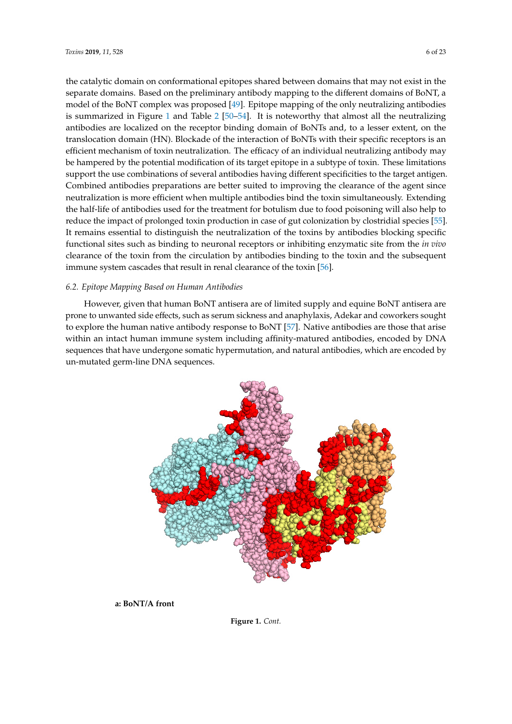the catalytic domain on conformational epitopes shared between domains that may not exist in the separate domains. Based on the preliminary antibody mapping to the different domains of BoNT, a model of the BoNT complex was proposed [\[49\]](#page-18-1). Epitope mapping of the only neutralizing antibodies is summarized in Figure [1](#page-6-0) and Table [2](#page-6-1) [\[50–](#page-18-2)[54\]](#page-18-3). It is noteworthy that almost all the neutralizing antibodies are localized on the receptor binding domain of BoNTs and, to a lesser extent, on the translocation domain (HN). Blockade of the interaction of BoNTs with their specific receptors is an efficient mechanism of toxin neutralization. The efficacy of an individual neutralizing antibody may be hampered by the potential modification of its target epitope in a subtype of toxin. These limitations support the use combinations of several antibodies having different specificities to the target antigen. Combined antibodies preparations are better suited to improving the clearance of the agent since neutralization is more efficient when multiple antibodies bind the toxin simultaneously. Extending<br>d and Table 2 contribution in Figure 1 and Table 2 [50–54]. It is note worth that almost 2 [50–54]. the half-life of antibodies used for the treatment for botulism due to food poisoning will also help to the receptor binding  $\frac{1}{2}$ reduce the impact of prolonged toxin production in case of gut colonization by clostridial species [\[55\]](#page-18-4). It remains essential to distinguish the neutralization of the toxins by antibodies blocking specific functional sites such as binding to neuronal receptors or inhibiting enzymatic site from the *in vivo* clearance of the toxin from the circulation by antibodies binding to the toxin and the subsequent immune system cascades that result in renal clearance of the toxin  $[56]$ .

# 6.2. *Epitope Mapping Based on Human Antibodies*

However, given that human BoNT antisera are of limited supply and equine BoNT antisera are prone to unwanted side effects, such as serum sickness and anaphylaxis, Adekar and coworkers sought to explore the human native antibody response to BoNT [\[57\]](#page-18-6). Native antibodies are those that arise <sup>1</sup><br>within an intact human immune system including affinity-matured antibodies, encoded by DNA  $\frac{1}{2}$  sequences that have undergone somatic hypermutation, and natural antibodies, which are encoded by sequences that have undergone somatic hypermutation, and natural antibodies, which are encoded by un-mutated germ-line DNA sequences.  $\frac{1}{56}$   $\frac{1}{56}$ 



**a: BoNT/A front** 

**Figure 1.** *Cont.*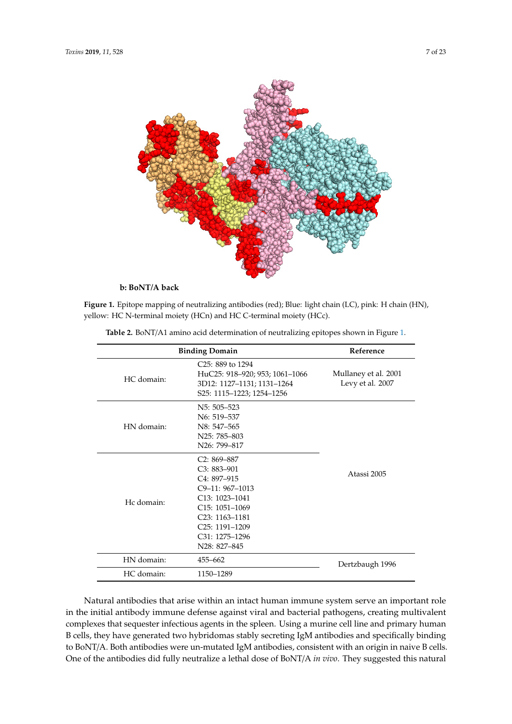<span id="page-6-0"></span>

**b: BoNT/A back** 

<span id="page-6-1"></span>**Figure 1.** Epitope mapping of neutralizing antibodies (red); Blue: light chain (LC), pink: H chain (HN), **Figure 1.** Epitope mapping of neutralizing antibodies (red); Blue: light chain (LC), pink: H chain (HN), yellow: HC N-terminal moiety (HCn) and HC C-terminal moiety (HCc). yellow: HC N-terminal moiety (HCn) and HC C-terminal moiety (HCc).

| <b>Binding Domain</b>   | Reference                                                                                                                                                                                                     |                                          |  |
|-------------------------|---------------------------------------------------------------------------------------------------------------------------------------------------------------------------------------------------------------|------------------------------------------|--|
| HC domain:              | C <sub>25</sub> : 889 to 1294<br>HuC25: 918-920; 953; 1061-1066<br>3D12: 1127-1131; 1131-1264<br>S25: 1115-1223; 1254-1256                                                                                    | Mullaney et al. 2001<br>Levy et al. 2007 |  |
| HN domain:              | N5: 505-523<br>N6: 519-537<br>N8: 547-565<br>N25: 785-803<br>N26: 799-817                                                                                                                                     |                                          |  |
| Hc domain:              | $C2: 869 - 887$<br>$C3: 883 - 901$<br>$C4: 897 - 915$<br>$C9-11:967-1013$<br>C <sub>13</sub> : 1023-1041<br>C15: 1051-1069<br>C23: 1163-1181<br>C <sub>25</sub> : 1191-1209<br>C31: 1275-1296<br>N28: 827-845 | Atassi 2005                              |  |
| HN domain:              | 455-662                                                                                                                                                                                                       | Dertzbaugh 1996                          |  |
| HC domain:<br>1150-1289 |                                                                                                                                                                                                               |                                          |  |

**Table 2.** BoNT/A1 amino acid determination of neutralizing epitopes shown in Figure 1. **Table 2.** BoNT/A1 amino acid determination of neutralizing epitopes shown in Figure [1.](#page-6-0)

*6.2. Epitope Mapping Based on Human Antibodies*  in the initial antibody immune defense against viral and bacterial pathogens, creating multivalent complexes that sequester infectious agents in the spleen. Using a murine cell line and primary human B cells, they have generated two hybridomas stably secreting IgM antibodies and specifically binding to BoNT/A. Both antibodies were un-mutated IgM antibodies, consistent with an origin in naive B cells. Natural antibodies that arise within an intact human immune system serve an important role One of the antibodies did fully neutralize a lethal dose of BoNT/A *in vivo*. They suggested this natural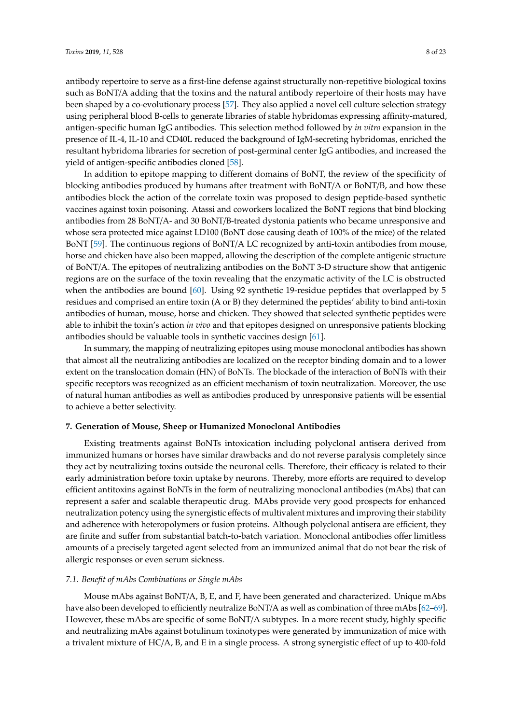antibody repertoire to serve as a first-line defense against structurally non-repetitive biological toxins such as BoNT/A adding that the toxins and the natural antibody repertoire of their hosts may have been shaped by a co-evolutionary process [\[57\]](#page-18-6). They also applied a novel cell culture selection strategy using peripheral blood B-cells to generate libraries of stable hybridomas expressing affinity-matured, antigen-specific human IgG antibodies. This selection method followed by *in vitro* expansion in the presence of IL-4, IL-10 and CD40L reduced the background of IgM-secreting hybridomas, enriched the resultant hybridoma libraries for secretion of post-germinal center IgG antibodies, and increased the yield of antigen-specific antibodies cloned [\[58\]](#page-18-7).

In addition to epitope mapping to different domains of BoNT, the review of the specificity of blocking antibodies produced by humans after treatment with BoNT/A or BoNT/B, and how these antibodies block the action of the correlate toxin was proposed to design peptide-based synthetic vaccines against toxin poisoning. Atassi and coworkers localized the BoNT regions that bind blocking antibodies from 28 BoNT/A- and 30 BoNT/B-treated dystonia patients who became unresponsive and whose sera protected mice against LD100 (BoNT dose causing death of 100% of the mice) of the related BoNT [\[59\]](#page-18-8). The continuous regions of BoNT/A LC recognized by anti-toxin antibodies from mouse, horse and chicken have also been mapped, allowing the description of the complete antigenic structure of BoNT/A. The epitopes of neutralizing antibodies on the BoNT 3-D structure show that antigenic regions are on the surface of the toxin revealing that the enzymatic activity of the LC is obstructed when the antibodies are bound [\[60\]](#page-18-9). Using 92 synthetic 19-residue peptides that overlapped by 5 residues and comprised an entire toxin (A or B) they determined the peptides' ability to bind anti-toxin antibodies of human, mouse, horse and chicken. They showed that selected synthetic peptides were able to inhibit the toxin's action *in vivo* and that epitopes designed on unresponsive patients blocking antibodies should be valuable tools in synthetic vaccines design [\[61\]](#page-18-10).

In summary, the mapping of neutralizing epitopes using mouse monoclonal antibodies has shown that almost all the neutralizing antibodies are localized on the receptor binding domain and to a lower extent on the translocation domain (HN) of BoNTs. The blockade of the interaction of BoNTs with their specific receptors was recognized as an efficient mechanism of toxin neutralization. Moreover, the use of natural human antibodies as well as antibodies produced by unresponsive patients will be essential to achieve a better selectivity.

#### **7. Generation of Mouse, Sheep or Humanized Monoclonal Antibodies**

Existing treatments against BoNTs intoxication including polyclonal antisera derived from immunized humans or horses have similar drawbacks and do not reverse paralysis completely since they act by neutralizing toxins outside the neuronal cells. Therefore, their efficacy is related to their early administration before toxin uptake by neurons. Thereby, more efforts are required to develop efficient antitoxins against BoNTs in the form of neutralizing monoclonal antibodies (mAbs) that can represent a safer and scalable therapeutic drug. MAbs provide very good prospects for enhanced neutralization potency using the synergistic effects of multivalent mixtures and improving their stability and adherence with heteropolymers or fusion proteins. Although polyclonal antisera are efficient, they are finite and suffer from substantial batch-to-batch variation. Monoclonal antibodies offer limitless amounts of a precisely targeted agent selected from an immunized animal that do not bear the risk of allergic responses or even serum sickness.

## *7.1. Benefit of mAbs Combinations or Single mAbs*

Mouse mAbs against BoNT/A, B, E, and F, have been generated and characterized. Unique mAbs have also been developed to efficiently neutralize BoNT/A as well as combination of three mAbs [\[62–](#page-18-11)[69\]](#page-19-0). However, these mAbs are specific of some BoNT/A subtypes. In a more recent study, highly specific and neutralizing mAbs against botulinum toxinotypes were generated by immunization of mice with a trivalent mixture of HC/A, B, and E in a single process. A strong synergistic effect of up to 400-fold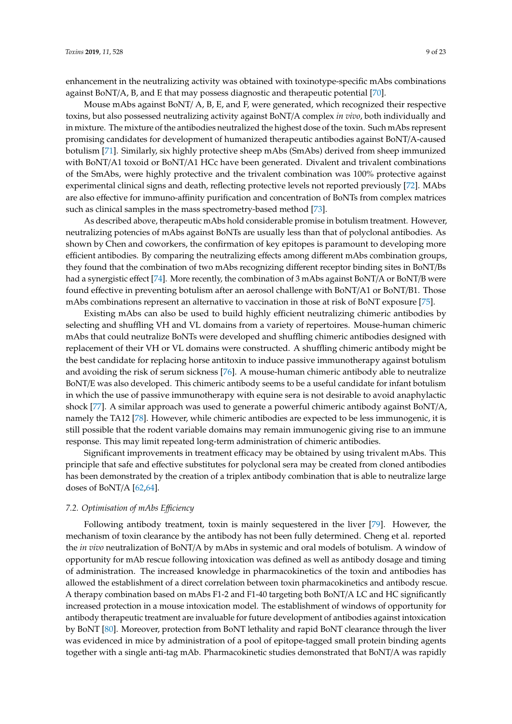enhancement in the neutralizing activity was obtained with toxinotype-specific mAbs combinations against BoNT/A, B, and E that may possess diagnostic and therapeutic potential [\[70\]](#page-19-1).

Mouse mAbs against BoNT/ A, B, E, and F, were generated, which recognized their respective toxins, but also possessed neutralizing activity against BoNT/A complex *in vivo*, both individually and in mixture. The mixture of the antibodies neutralized the highest dose of the toxin. Such mAbs represent promising candidates for development of humanized therapeutic antibodies against BoNT/A-caused botulism [\[71\]](#page-19-2). Similarly, six highly protective sheep mAbs (SmAbs) derived from sheep immunized with BoNT/A1 toxoid or BoNT/A1 HCc have been generated. Divalent and trivalent combinations of the SmAbs, were highly protective and the trivalent combination was 100% protective against experimental clinical signs and death, reflecting protective levels not reported previously [\[72\]](#page-19-3). MAbs are also effective for immuno-affinity purification and concentration of BoNTs from complex matrices such as clinical samples in the mass spectrometry-based method [\[73\]](#page-19-4).

As described above, therapeutic mAbs hold considerable promise in botulism treatment. However, neutralizing potencies of mAbs against BoNTs are usually less than that of polyclonal antibodies. As shown by Chen and coworkers, the confirmation of key epitopes is paramount to developing more efficient antibodies. By comparing the neutralizing effects among different mAbs combination groups, they found that the combination of two mAbs recognizing different receptor binding sites in BoNT/Bs had a synergistic effect [\[74\]](#page-19-5). More recently, the combination of 3 mAbs against BoNT/A or BoNT/B were found effective in preventing botulism after an aerosol challenge with BoNT/A1 or BoNT/B1. Those mAbs combinations represent an alternative to vaccination in those at risk of BoNT exposure [\[75\]](#page-19-6).

Existing mAbs can also be used to build highly efficient neutralizing chimeric antibodies by selecting and shuffling VH and VL domains from a variety of repertoires. Mouse-human chimeric mAbs that could neutralize BoNTs were developed and shuffling chimeric antibodies designed with replacement of their VH or VL domains were constructed. A shuffling chimeric antibody might be the best candidate for replacing horse antitoxin to induce passive immunotherapy against botulism and avoiding the risk of serum sickness [\[76\]](#page-19-7). A mouse-human chimeric antibody able to neutralize BoNT/E was also developed. This chimeric antibody seems to be a useful candidate for infant botulism in which the use of passive immunotherapy with equine sera is not desirable to avoid anaphylactic shock [\[77\]](#page-19-8). A similar approach was used to generate a powerful chimeric antibody against BoNT/A, namely the TA12 [\[78\]](#page-19-9). However, while chimeric antibodies are expected to be less immunogenic, it is still possible that the rodent variable domains may remain immunogenic giving rise to an immune response. This may limit repeated long-term administration of chimeric antibodies.

Significant improvements in treatment efficacy may be obtained by using trivalent mAbs. This principle that safe and effective substitutes for polyclonal sera may be created from cloned antibodies has been demonstrated by the creation of a triplex antibody combination that is able to neutralize large doses of BoNT/A [\[62](#page-18-11)[,64\]](#page-18-12).

# *7.2. Optimisation of mAbs E*ffi*ciency*

Following antibody treatment, toxin is mainly sequestered in the liver [\[79\]](#page-19-10). However, the mechanism of toxin clearance by the antibody has not been fully determined. Cheng et al. reported the *in vivo* neutralization of BoNT/A by mAbs in systemic and oral models of botulism. A window of opportunity for mAb rescue following intoxication was defined as well as antibody dosage and timing of administration. The increased knowledge in pharmacokinetics of the toxin and antibodies has allowed the establishment of a direct correlation between toxin pharmacokinetics and antibody rescue. A therapy combination based on mAbs F1-2 and F1-40 targeting both BoNT/A LC and HC significantly increased protection in a mouse intoxication model. The establishment of windows of opportunity for antibody therapeutic treatment are invaluable for future development of antibodies against intoxication by BoNT [\[80\]](#page-19-11). Moreover, protection from BoNT lethality and rapid BoNT clearance through the liver was evidenced in mice by administration of a pool of epitope-tagged small protein binding agents together with a single anti-tag mAb. Pharmacokinetic studies demonstrated that BoNT/A was rapidly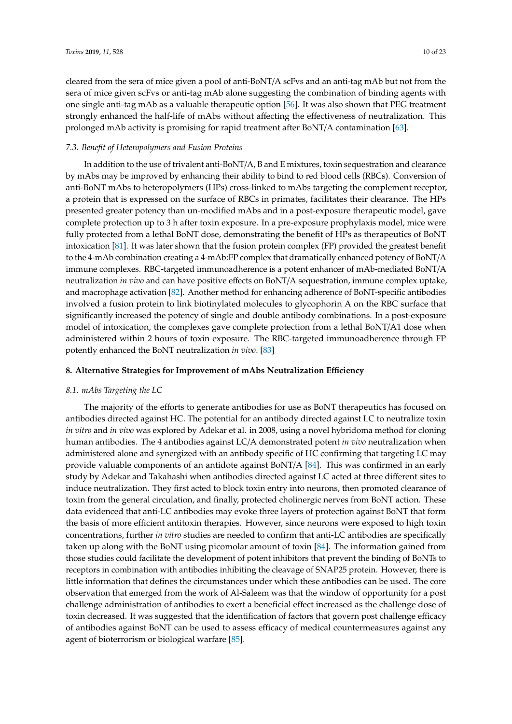cleared from the sera of mice given a pool of anti-BoNT/A scFvs and an anti-tag mAb but not from the sera of mice given scFvs or anti-tag mAb alone suggesting the combination of binding agents with one single anti-tag mAb as a valuable therapeutic option [\[56\]](#page-18-5). It was also shown that PEG treatment strongly enhanced the half-life of mAbs without affecting the effectiveness of neutralization. This prolonged mAb activity is promising for rapid treatment after BoNT/A contamination [\[63\]](#page-18-13).

# *7.3. Benefit of Heteropolymers and Fusion Proteins*

In addition to the use of trivalent anti-BoNT/A, B and E mixtures, toxin sequestration and clearance by mAbs may be improved by enhancing their ability to bind to red blood cells (RBCs). Conversion of anti-BoNT mAbs to heteropolymers (HPs) cross-linked to mAbs targeting the complement receptor, a protein that is expressed on the surface of RBCs in primates, facilitates their clearance. The HPs presented greater potency than un-modified mAbs and in a post-exposure therapeutic model, gave complete protection up to 3 h after toxin exposure. In a pre-exposure prophylaxis model, mice were fully protected from a lethal BoNT dose, demonstrating the benefit of HPs as therapeutics of BoNT intoxication [\[81\]](#page-19-12). It was later shown that the fusion protein complex (FP) provided the greatest benefit to the 4-mAb combination creating a 4-mAb:FP complex that dramatically enhanced potency of BoNT/A immune complexes. RBC-targeted immunoadherence is a potent enhancer of mAb-mediated BoNT/A neutralization *in vivo* and can have positive effects on BoNT/A sequestration, immune complex uptake, and macrophage activation [\[82\]](#page-19-13). Another method for enhancing adherence of BoNT-specific antibodies involved a fusion protein to link biotinylated molecules to glycophorin A on the RBC surface that significantly increased the potency of single and double antibody combinations. In a post-exposure model of intoxication, the complexes gave complete protection from a lethal BoNT/A1 dose when administered within 2 hours of toxin exposure. The RBC-targeted immunoadherence through FP potently enhanced the BoNT neutralization *in vivo*. [\[83\]](#page-19-14)

## **8. Alternative Strategies for Improvement of mAbs Neutralization E**ffi**ciency**

## *8.1. mAbs Targeting the LC*

The majority of the efforts to generate antibodies for use as BoNT therapeutics has focused on antibodies directed against HC. The potential for an antibody directed against LC to neutralize toxin *in vitro* and *in vivo* was explored by Adekar et al. in 2008, using a novel hybridoma method for cloning human antibodies. The 4 antibodies against LC/A demonstrated potent *in vivo* neutralization when administered alone and synergized with an antibody specific of HC confirming that targeting LC may provide valuable components of an antidote against BoNT/A [\[84\]](#page-20-0). This was confirmed in an early study by Adekar and Takahashi when antibodies directed against LC acted at three different sites to induce neutralization. They first acted to block toxin entry into neurons, then promoted clearance of toxin from the general circulation, and finally, protected cholinergic nerves from BoNT action. These data evidenced that anti-LC antibodies may evoke three layers of protection against BoNT that form the basis of more efficient antitoxin therapies. However, since neurons were exposed to high toxin concentrations, further *in vitro* studies are needed to confirm that anti-LC antibodies are specifically taken up along with the BoNT using picomolar amount of toxin [\[84\]](#page-20-0). The information gained from those studies could facilitate the development of potent inhibitors that prevent the binding of BoNTs to receptors in combination with antibodies inhibiting the cleavage of SNAP25 protein. However, there is little information that defines the circumstances under which these antibodies can be used. The core observation that emerged from the work of Al-Saleem was that the window of opportunity for a post challenge administration of antibodies to exert a beneficial effect increased as the challenge dose of toxin decreased. It was suggested that the identification of factors that govern post challenge efficacy of antibodies against BoNT can be used to assess efficacy of medical countermeasures against any agent of bioterrorism or biological warfare [\[85\]](#page-20-1).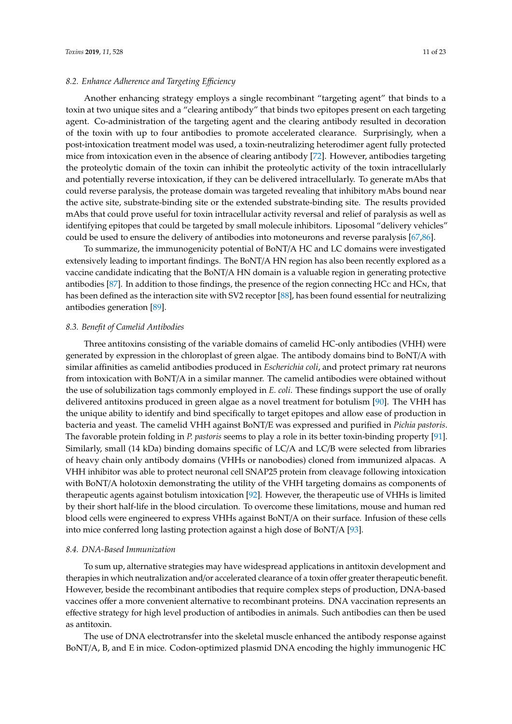## *8.2. Enhance Adherence and Targeting E*ffi*ciency*

Another enhancing strategy employs a single recombinant "targeting agent" that binds to a toxin at two unique sites and a "clearing antibody" that binds two epitopes present on each targeting agent. Co-administration of the targeting agent and the clearing antibody resulted in decoration of the toxin with up to four antibodies to promote accelerated clearance. Surprisingly, when a post-intoxication treatment model was used, a toxin-neutralizing heterodimer agent fully protected mice from intoxication even in the absence of clearing antibody [\[72\]](#page-19-3). However, antibodies targeting the proteolytic domain of the toxin can inhibit the proteolytic activity of the toxin intracellularly and potentially reverse intoxication, if they can be delivered intracellularly. To generate mAbs that could reverse paralysis, the protease domain was targeted revealing that inhibitory mAbs bound near the active site, substrate-binding site or the extended substrate-binding site. The results provided mAbs that could prove useful for toxin intracellular activity reversal and relief of paralysis as well as identifying epitopes that could be targeted by small molecule inhibitors. Liposomal "delivery vehicles" could be used to ensure the delivery of antibodies into motoneurons and reverse paralysis [\[67](#page-19-15)[,86\]](#page-20-2).

To summarize, the immunogenicity potential of BoNT/A HC and LC domains were investigated extensively leading to important findings. The BoNT/A HN region has also been recently explored as a vaccine candidate indicating that the BoNT/A HN domain is a valuable region in generating protective antibodies [\[87\]](#page-20-3). In addition to those findings, the presence of the region connecting HCc and HCn, that has been defined as the interaction site with SV2 receptor [\[88\]](#page-20-4), has been found essential for neutralizing antibodies generation [\[89\]](#page-20-5).

#### *8.3. Benefit of Camelid Antibodies*

Three antitoxins consisting of the variable domains of camelid HC-only antibodies (VHH) were generated by expression in the chloroplast of green algae. The antibody domains bind to BoNT/A with similar affinities as camelid antibodies produced in *Escherichia coli*, and protect primary rat neurons from intoxication with BoNT/A in a similar manner. The camelid antibodies were obtained without the use of solubilization tags commonly employed in *E. coli*. These findings support the use of orally delivered antitoxins produced in green algae as a novel treatment for botulism [\[90\]](#page-20-6). The VHH has the unique ability to identify and bind specifically to target epitopes and allow ease of production in bacteria and yeast. The camelid VHH against BoNT/E was expressed and purified in *Pichia pastoris*. The favorable protein folding in *P. pastoris* seems to play a role in its better toxin-binding property [\[91\]](#page-20-7). Similarly, small (14 kDa) binding domains specific of LC/A and LC/B were selected from libraries of heavy chain only antibody domains (VHHs or nanobodies) cloned from immunized alpacas. A VHH inhibitor was able to protect neuronal cell SNAP25 protein from cleavage following intoxication with BoNT/A holotoxin demonstrating the utility of the VHH targeting domains as components of therapeutic agents against botulism intoxication [\[92\]](#page-20-8). However, the therapeutic use of VHHs is limited by their short half-life in the blood circulation. To overcome these limitations, mouse and human red blood cells were engineered to express VHHs against BoNT/A on their surface. Infusion of these cells into mice conferred long lasting protection against a high dose of BoNT/A [\[93\]](#page-20-9).

#### *8.4. DNA-Based Immunization*

To sum up, alternative strategies may have widespread applications in antitoxin development and therapies in which neutralization and/or accelerated clearance of a toxin offer greater therapeutic benefit. However, beside the recombinant antibodies that require complex steps of production, DNA-based vaccines offer a more convenient alternative to recombinant proteins. DNA vaccination represents an effective strategy for high level production of antibodies in animals. Such antibodies can then be used as antitoxin.

The use of DNA electrotransfer into the skeletal muscle enhanced the antibody response against BoNT/A, B, and E in mice. Codon-optimized plasmid DNA encoding the highly immunogenic HC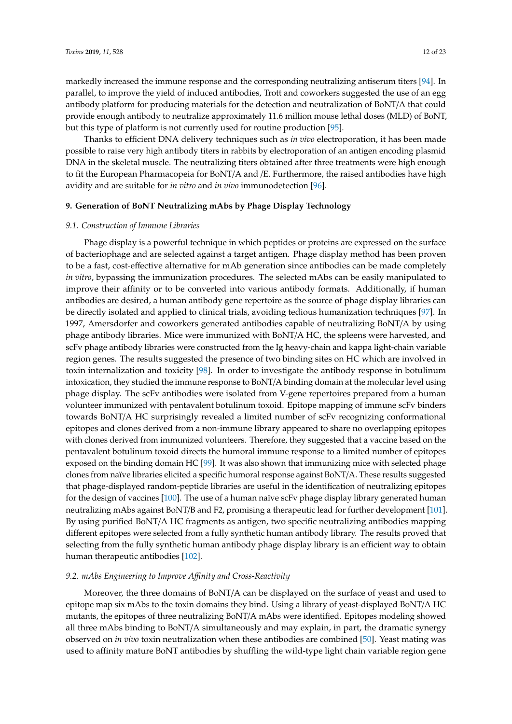markedly increased the immune response and the corresponding neutralizing antiserum titers [\[94\]](#page-20-10). In parallel, to improve the yield of induced antibodies, Trott and coworkers suggested the use of an egg antibody platform for producing materials for the detection and neutralization of BoNT/A that could provide enough antibody to neutralize approximately 11.6 million mouse lethal doses (MLD) of BoNT, but this type of platform is not currently used for routine production [\[95\]](#page-20-11).

Thanks to efficient DNA delivery techniques such as *in vivo* electroporation, it has been made possible to raise very high antibody titers in rabbits by electroporation of an antigen encoding plasmid DNA in the skeletal muscle. The neutralizing titers obtained after three treatments were high enough to fit the European Pharmacopeia for BoNT/A and /E. Furthermore, the raised antibodies have high avidity and are suitable for *in vitro* and *in vivo* immunodetection [\[96\]](#page-20-12).

#### **9. Generation of BoNT Neutralizing mAbs by Phage Display Technology**

#### *9.1. Construction of Immune Libraries*

Phage display is a powerful technique in which peptides or proteins are expressed on the surface of bacteriophage and are selected against a target antigen. Phage display method has been proven to be a fast, cost-effective alternative for mAb generation since antibodies can be made completely *in vitro*, bypassing the immunization procedures. The selected mAbs can be easily manipulated to improve their affinity or to be converted into various antibody formats. Additionally, if human antibodies are desired, a human antibody gene repertoire as the source of phage display libraries can be directly isolated and applied to clinical trials, avoiding tedious humanization techniques [\[97\]](#page-20-13). In 1997, Amersdorfer and coworkers generated antibodies capable of neutralizing BoNT/A by using phage antibody libraries. Mice were immunized with BoNT/A HC, the spleens were harvested, and scFv phage antibody libraries were constructed from the Ig heavy-chain and kappa light-chain variable region genes. The results suggested the presence of two binding sites on HC which are involved in toxin internalization and toxicity [\[98\]](#page-20-14). In order to investigate the antibody response in botulinum intoxication, they studied the immune response to BoNT/A binding domain at the molecular level using phage display. The scFv antibodies were isolated from V-gene repertoires prepared from a human volunteer immunized with pentavalent botulinum toxoid. Epitope mapping of immune scFv binders towards BoNT/A HC surprisingly revealed a limited number of scFv recognizing conformational epitopes and clones derived from a non-immune library appeared to share no overlapping epitopes with clones derived from immunized volunteers. Therefore, they suggested that a vaccine based on the pentavalent botulinum toxoid directs the humoral immune response to a limited number of epitopes exposed on the binding domain HC [\[99\]](#page-20-15). It was also shown that immunizing mice with selected phage clones from naïve libraries elicited a specific humoral response against BoNT/A. These results suggested that phage-displayed random-peptide libraries are useful in the identification of neutralizing epitopes for the design of vaccines [\[100\]](#page-20-16). The use of a human naïve scFv phage display library generated human neutralizing mAbs against BoNT/B and F2, promising a therapeutic lead for further development [\[101\]](#page-20-17). By using purified BoNT/A HC fragments as antigen, two specific neutralizing antibodies mapping different epitopes were selected from a fully synthetic human antibody library. The results proved that selecting from the fully synthetic human antibody phage display library is an efficient way to obtain human therapeutic antibodies [\[102\]](#page-21-0).

#### *9.2. mAbs Engineering to Improve A*ffi*nity and Cross-Reactivity*

Moreover, the three domains of BoNT/A can be displayed on the surface of yeast and used to epitope map six mAbs to the toxin domains they bind. Using a library of yeast-displayed BoNT/A HC mutants, the epitopes of three neutralizing BoNT/A mAbs were identified. Epitopes modeling showed all three mAbs binding to BoNT/A simultaneously and may explain, in part, the dramatic synergy observed on *in vivo* toxin neutralization when these antibodies are combined [\[50\]](#page-18-2). Yeast mating was used to affinity mature BoNT antibodies by shuffling the wild-type light chain variable region gene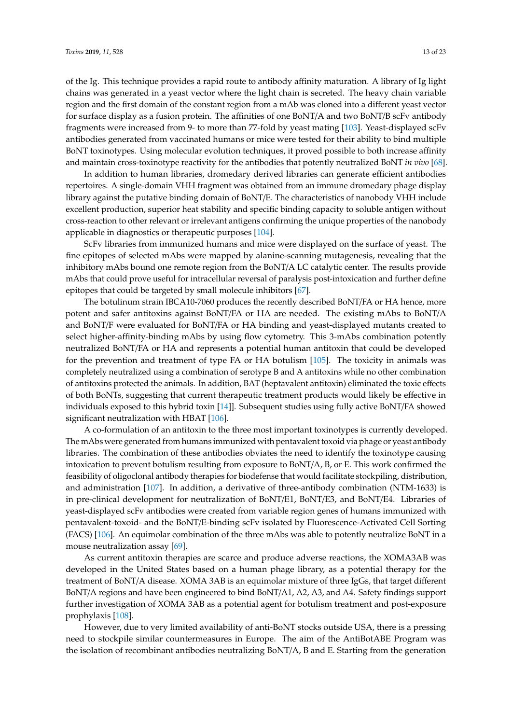of the Ig. This technique provides a rapid route to antibody affinity maturation. A library of Ig light chains was generated in a yeast vector where the light chain is secreted. The heavy chain variable region and the first domain of the constant region from a mAb was cloned into a different yeast vector for surface display as a fusion protein. The affinities of one BoNT/A and two BoNT/B scFv antibody fragments were increased from 9- to more than 77-fold by yeast mating [\[103\]](#page-21-1). Yeast-displayed scFv antibodies generated from vaccinated humans or mice were tested for their ability to bind multiple BoNT toxinotypes. Using molecular evolution techniques, it proved possible to both increase affinity and maintain cross-toxinotype reactivity for the antibodies that potently neutralized BoNT *in vivo* [\[68\]](#page-19-16).

In addition to human libraries, dromedary derived libraries can generate efficient antibodies repertoires. A single-domain VHH fragment was obtained from an immune dromedary phage display library against the putative binding domain of BoNT/E. The characteristics of nanobody VHH include excellent production, superior heat stability and specific binding capacity to soluble antigen without cross-reaction to other relevant or irrelevant antigens confirming the unique properties of the nanobody applicable in diagnostics or therapeutic purposes [\[104\]](#page-21-2).

ScFv libraries from immunized humans and mice were displayed on the surface of yeast. The fine epitopes of selected mAbs were mapped by alanine-scanning mutagenesis, revealing that the inhibitory mAbs bound one remote region from the BoNT/A LC catalytic center. The results provide mAbs that could prove useful for intracellular reversal of paralysis post-intoxication and further define epitopes that could be targeted by small molecule inhibitors [\[67\]](#page-19-15).

The botulinum strain IBCA10-7060 produces the recently described BoNT/FA or HA hence, more potent and safer antitoxins against BoNT/FA or HA are needed. The existing mAbs to BoNT/A and BoNT/F were evaluated for BoNT/FA or HA binding and yeast-displayed mutants created to select higher-affinity-binding mAbs by using flow cytometry. This 3-mAbs combination potently neutralized BoNT/FA or HA and represents a potential human antitoxin that could be developed for the prevention and treatment of type FA or HA botulism [\[105\]](#page-21-3). The toxicity in animals was completely neutralized using a combination of serotype B and A antitoxins while no other combination of antitoxins protected the animals. In addition, BAT (heptavalent antitoxin) eliminated the toxic effects of both BoNTs, suggesting that current therapeutic treatment products would likely be effective in individuals exposed to this hybrid toxin [\[14\]](#page-16-20)]. Subsequent studies using fully active BoNT/FA showed significant neutralization with HBAT [\[106\]](#page-21-4).

A co-formulation of an antitoxin to the three most important toxinotypes is currently developed. The mAbs were generated from humans immunized with pentavalent toxoid via phage or yeast antibody libraries. The combination of these antibodies obviates the need to identify the toxinotype causing intoxication to prevent botulism resulting from exposure to BoNT/A, B, or E. This work confirmed the feasibility of oligoclonal antibody therapies for biodefense that would facilitate stockpiling, distribution, and administration [\[107\]](#page-21-5). In addition, a derivative of three-antibody combination (NTM-1633) is in pre-clinical development for neutralization of BoNT/E1, BoNT/E3, and BoNT/E4. Libraries of yeast-displayed scFv antibodies were created from variable region genes of humans immunized with pentavalent-toxoid- and the BoNT/E-binding scFv isolated by Fluorescence-Activated Cell Sorting (FACS) [\[106\]](#page-21-4). An equimolar combination of the three mAbs was able to potently neutralize BoNT in a mouse neutralization assay [\[69\]](#page-19-0).

As current antitoxin therapies are scarce and produce adverse reactions, the XOMA3AB was developed in the United States based on a human phage library, as a potential therapy for the treatment of BoNT/A disease. XOMA 3AB is an equimolar mixture of three IgGs, that target different BoNT/A regions and have been engineered to bind BoNT/A1, A2, A3, and A4. Safety findings support further investigation of XOMA 3AB as a potential agent for botulism treatment and post-exposure prophylaxis [\[108\]](#page-21-6).

However, due to very limited availability of anti-BoNT stocks outside USA, there is a pressing need to stockpile similar countermeasures in Europe. The aim of the AntiBotABE Program was the isolation of recombinant antibodies neutralizing BoNT/A, B and E. Starting from the generation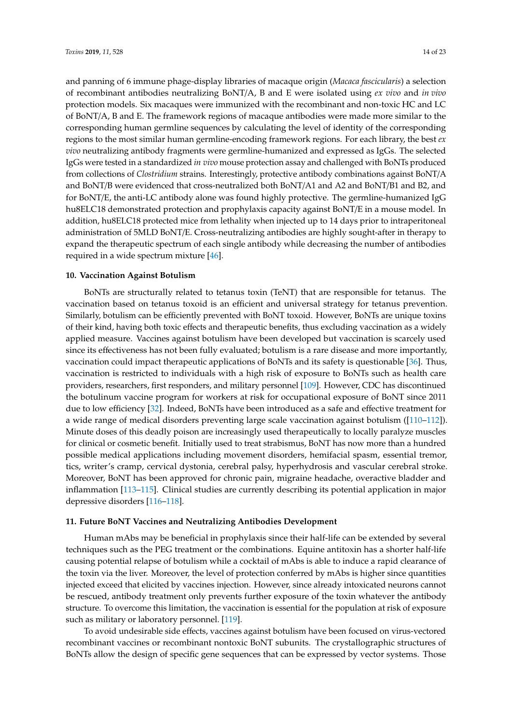and panning of 6 immune phage-display libraries of macaque origin (*Macaca fascicularis*) a selection of recombinant antibodies neutralizing BoNT/A, B and E were isolated using *ex vivo* and *in vivo* protection models. Six macaques were immunized with the recombinant and non-toxic HC and LC of BoNT/A, B and E. The framework regions of macaque antibodies were made more similar to the corresponding human germline sequences by calculating the level of identity of the corresponding regions to the most similar human germline-encoding framework regions. For each library, the best *ex vivo* neutralizing antibody fragments were germline-humanized and expressed as IgGs. The selected IgGs were tested in a standardized *in vivo* mouse protection assay and challenged with BoNTs produced from collections of *Clostridium* strains. Interestingly, protective antibody combinations against BoNT/A and BoNT/B were evidenced that cross-neutralized both BoNT/A1 and A2 and BoNT/B1 and B2, and for BoNT/E, the anti-LC antibody alone was found highly protective. The germline-humanized IgG hu8ELC18 demonstrated protection and prophylaxis capacity against BoNT/E in a mouse model. In addition, hu8ELC18 protected mice from lethality when injected up to 14 days prior to intraperitoneal administration of 5MLD BoNT/E. Cross-neutralizing antibodies are highly sought-after in therapy to expand the therapeutic spectrum of each single antibody while decreasing the number of antibodies required in a wide spectrum mixture [\[46\]](#page-17-17).

#### **10. Vaccination Against Botulism**

BoNTs are structurally related to tetanus toxin (TeNT) that are responsible for tetanus. The vaccination based on tetanus toxoid is an efficient and universal strategy for tetanus prevention. Similarly, botulism can be efficiently prevented with BoNT toxoid. However, BoNTs are unique toxins of their kind, having both toxic effects and therapeutic benefits, thus excluding vaccination as a widely applied measure. Vaccines against botulism have been developed but vaccination is scarcely used since its effectiveness has not been fully evaluated; botulism is a rare disease and more importantly, vaccination could impact therapeutic applications of BoNTs and its safety is questionable [\[36\]](#page-17-8). Thus, vaccination is restricted to individuals with a high risk of exposure to BoNTs such as health care providers, researchers, first responders, and military personnel [\[109\]](#page-21-7). However, CDC has discontinued the botulinum vaccine program for workers at risk for occupational exposure of BoNT since 2011 due to low efficiency [\[32\]](#page-17-4). Indeed, BoNTs have been introduced as a safe and effective treatment for a wide range of medical disorders preventing large scale vaccination against botulism ([\[110](#page-21-8)[–112\]](#page-21-9)). Minute doses of this deadly poison are increasingly used therapeutically to locally paralyze muscles for clinical or cosmetic benefit. Initially used to treat strabismus, BoNT has now more than a hundred possible medical applications including movement disorders, hemifacial spasm, essential tremor, tics, writer's cramp, cervical dystonia, cerebral palsy, hyperhydrosis and vascular cerebral stroke. Moreover, BoNT has been approved for chronic pain, migraine headache, overactive bladder and inflammation [\[113–](#page-21-10)[115\]](#page-21-11). Clinical studies are currently describing its potential application in major depressive disorders [\[116](#page-21-12)[–118\]](#page-21-13).

#### **11. Future BoNT Vaccines and Neutralizing Antibodies Development**

Human mAbs may be beneficial in prophylaxis since their half-life can be extended by several techniques such as the PEG treatment or the combinations. Equine antitoxin has a shorter half-life causing potential relapse of botulism while a cocktail of mAbs is able to induce a rapid clearance of the toxin via the liver. Moreover, the level of protection conferred by mAbs is higher since quantities injected exceed that elicited by vaccines injection. However, since already intoxicated neurons cannot be rescued, antibody treatment only prevents further exposure of the toxin whatever the antibody structure. To overcome this limitation, the vaccination is essential for the population at risk of exposure such as military or laboratory personnel. [\[119\]](#page-21-14).

To avoid undesirable side effects, vaccines against botulism have been focused on virus-vectored recombinant vaccines or recombinant nontoxic BoNT subunits. The crystallographic structures of BoNTs allow the design of specific gene sequences that can be expressed by vector systems. Those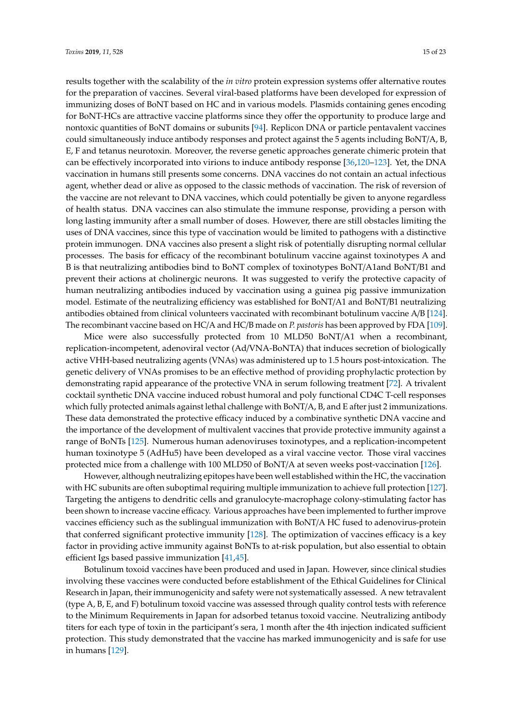results together with the scalability of the *in vitro* protein expression systems offer alternative routes for the preparation of vaccines. Several viral-based platforms have been developed for expression of immunizing doses of BoNT based on HC and in various models. Plasmids containing genes encoding for BoNT-HCs are attractive vaccine platforms since they offer the opportunity to produce large and nontoxic quantities of BoNT domains or subunits [\[94\]](#page-20-10). Replicon DNA or particle pentavalent vaccines could simultaneously induce antibody responses and protect against the 5 agents including BoNT/A, B, E, F and tetanus neurotoxin. Moreover, the reverse genetic approaches generate chimeric protein that can be effectively incorporated into virions to induce antibody response [\[36,](#page-17-8)[120](#page-21-15)[–123\]](#page-22-0). Yet, the DNA vaccination in humans still presents some concerns. DNA vaccines do not contain an actual infectious agent, whether dead or alive as opposed to the classic methods of vaccination. The risk of reversion of the vaccine are not relevant to DNA vaccines, which could potentially be given to anyone regardless of health status. DNA vaccines can also stimulate the immune response, providing a person with long lasting immunity after a small number of doses. However, there are still obstacles limiting the uses of DNA vaccines, since this type of vaccination would be limited to pathogens with a distinctive protein immunogen. DNA vaccines also present a slight risk of potentially disrupting normal cellular processes. The basis for efficacy of the recombinant botulinum vaccine against toxinotypes A and B is that neutralizing antibodies bind to BoNT complex of toxinotypes BoNT/A1and BoNT/B1 and prevent their actions at cholinergic neurons. It was suggested to verify the protective capacity of human neutralizing antibodies induced by vaccination using a guinea pig passive immunization model. Estimate of the neutralizing efficiency was established for BoNT/A1 and BoNT/B1 neutralizing antibodies obtained from clinical volunteers vaccinated with recombinant botulinum vaccine A/B [\[124\]](#page-22-1). The recombinant vaccine based on HC/A and HC/B made on *P. pastoris* has been approved by FDA [\[109\]](#page-21-7).

Mice were also successfully protected from 10 MLD50 BoNT/A1 when a recombinant, replication-incompetent, adenoviral vector (Ad/VNA-BoNTA) that induces secretion of biologically active VHH-based neutralizing agents (VNAs) was administered up to 1.5 hours post-intoxication. The genetic delivery of VNAs promises to be an effective method of providing prophylactic protection by demonstrating rapid appearance of the protective VNA in serum following treatment [\[72\]](#page-19-3). A trivalent cocktail synthetic DNA vaccine induced robust humoral and poly functional CD4C T-cell responses which fully protected animals against lethal challenge with BoNT/A, B, and E after just 2 immunizations. These data demonstrated the protective efficacy induced by a combinative synthetic DNA vaccine and the importance of the development of multivalent vaccines that provide protective immunity against a range of BoNTs [\[125\]](#page-22-2). Numerous human adenoviruses toxinotypes, and a replication-incompetent human toxinotype 5 (AdHu5) have been developed as a viral vaccine vector. Those viral vaccines protected mice from a challenge with 100 MLD50 of BoNT/A at seven weeks post-vaccination [\[126\]](#page-22-3).

However, although neutralizing epitopes have been well established within the HC, the vaccination with HC subunits are often suboptimal requiring multiple immunization to achieve full protection [\[127\]](#page-22-4). Targeting the antigens to dendritic cells and granulocyte-macrophage colony-stimulating factor has been shown to increase vaccine efficacy. Various approaches have been implemented to further improve vaccines efficiency such as the sublingual immunization with BoNT/A HC fused to adenovirus-protein that conferred significant protective immunity [\[128\]](#page-22-5). The optimization of vaccines efficacy is a key factor in providing active immunity against BoNTs to at-risk population, but also essential to obtain efficient Igs based passive immunization [\[41](#page-17-12)[,45\]](#page-17-16).

Botulinum toxoid vaccines have been produced and used in Japan. However, since clinical studies involving these vaccines were conducted before establishment of the Ethical Guidelines for Clinical Research in Japan, their immunogenicity and safety were not systematically assessed. A new tetravalent (type A, B, E, and F) botulinum toxoid vaccine was assessed through quality control tests with reference to the Minimum Requirements in Japan for adsorbed tetanus toxoid vaccine. Neutralizing antibody titers for each type of toxin in the participant's sera, 1 month after the 4th injection indicated sufficient protection. This study demonstrated that the vaccine has marked immunogenicity and is safe for use in humans [\[129\]](#page-22-6).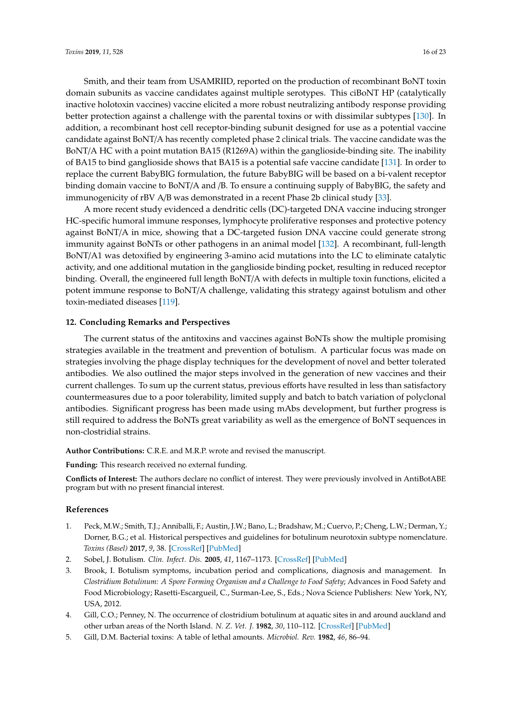Smith, and their team from USAMRIID, reported on the production of recombinant BoNT toxin domain subunits as vaccine candidates against multiple serotypes. This ciBoNT HP (catalytically inactive holotoxin vaccines) vaccine elicited a more robust neutralizing antibody response providing better protection against a challenge with the parental toxins or with dissimilar subtypes [\[130\]](#page-22-7). In addition, a recombinant host cell receptor-binding subunit designed for use as a potential vaccine candidate against BoNT/A has recently completed phase 2 clinical trials. The vaccine candidate was the BoNT/A HC with a point mutation BA15 (R1269A) within the ganglioside-binding site. The inability of BA15 to bind ganglioside shows that BA15 is a potential safe vaccine candidate [\[131\]](#page-22-8). In order to replace the current BabyBIG formulation, the future BabyBIG will be based on a bi-valent receptor binding domain vaccine to BoNT/A and /B. To ensure a continuing supply of BabyBIG, the safety and immunogenicity of rBV A/B was demonstrated in a recent Phase 2b clinical study [\[33\]](#page-17-5).

A more recent study evidenced a dendritic cells (DC)-targeted DNA vaccine inducing stronger HC-specific humoral immune responses, lymphocyte proliferative responses and protective potency against BoNT/A in mice, showing that a DC-targeted fusion DNA vaccine could generate strong immunity against BoNTs or other pathogens in an animal model [\[132\]](#page-22-9). A recombinant, full-length BoNT/A1 was detoxified by engineering 3-amino acid mutations into the LC to eliminate catalytic activity, and one additional mutation in the ganglioside binding pocket, resulting in reduced receptor binding. Overall, the engineered full length BoNT/A with defects in multiple toxin functions, elicited a potent immune response to BoNT/A challenge, validating this strategy against botulism and other toxin-mediated diseases [\[119\]](#page-21-14).

# **12. Concluding Remarks and Perspectives**

The current status of the antitoxins and vaccines against BoNTs show the multiple promising strategies available in the treatment and prevention of botulism. A particular focus was made on strategies involving the phage display techniques for the development of novel and better tolerated antibodies. We also outlined the major steps involved in the generation of new vaccines and their current challenges. To sum up the current status, previous efforts have resulted in less than satisfactory countermeasures due to a poor tolerability, limited supply and batch to batch variation of polyclonal antibodies. Significant progress has been made using mAbs development, but further progress is still required to address the BoNTs great variability as well as the emergence of BoNT sequences in non-clostridial strains.

**Author Contributions:** C.R.E. and M.R.P. wrote and revised the manuscript.

**Funding:** This research received no external funding.

**Conflicts of Interest:** The authors declare no conflict of interest. They were previously involved in AntiBotABE program but with no present financial interest.

# **References**

- <span id="page-15-0"></span>1. Peck, M.W.; Smith, T.J.; Anniballi, F.; Austin, J.W.; Bano, L.; Bradshaw, M.; Cuervo, P.; Cheng, L.W.; Derman, Y.; Dorner, B.G.; et al. Historical perspectives and guidelines for botulinum neurotoxin subtype nomenclature. *Toxins (Basel)* **2017**, *9*, 38. [\[CrossRef\]](http://dx.doi.org/10.3390/toxins9010038) [\[PubMed\]](http://www.ncbi.nlm.nih.gov/pubmed/28106761)
- <span id="page-15-1"></span>2. Sobel, J. Botulism. *Clin. Infect. Dis.* **2005**, *41*, 1167–1173. [\[CrossRef\]](http://dx.doi.org/10.1086/444507) [\[PubMed\]](http://www.ncbi.nlm.nih.gov/pubmed/16163636)
- <span id="page-15-2"></span>3. Brook, I. Botulism symptoms, incubation period and complications, diagnosis and management. In *Clostridium Botulinum: A Spore Forming Organism and a Challenge to Food Safety*; Advances in Food Safety and Food Microbiology; Rasetti-Escargueil, C., Surman-Lee, S., Eds.; Nova Science Publishers: New York, NY, USA, 2012.
- <span id="page-15-3"></span>4. Gill, C.O.; Penney, N. The occurrence of clostridium botulinum at aquatic sites in and around auckland and other urban areas of the North Island. *N. Z. Vet. J.* **1982**, *30*, 110–112. [\[CrossRef\]](http://dx.doi.org/10.1080/00480169.1982.34902) [\[PubMed\]](http://www.ncbi.nlm.nih.gov/pubmed/16030888)
- <span id="page-15-4"></span>5. Gill, D.M. Bacterial toxins: A table of lethal amounts. *Microbiol. Rev.* **1982**, *46*, 86–94.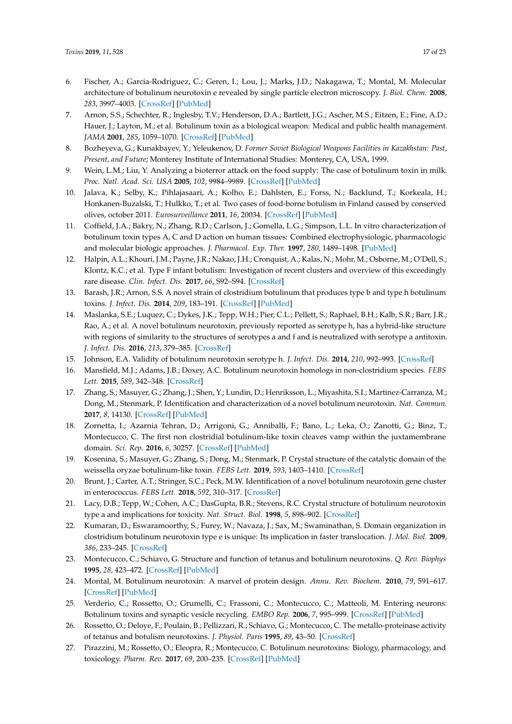- <span id="page-16-0"></span>6. Fischer, A.; Garcia-Rodriguez, C.; Geren, I.; Lou, J.; Marks, J.D.; Nakagawa, T.; Montal, M. Molecular architecture of botulinum neurotoxin e revealed by single particle electron microscopy. *J. Biol. Chem.* **2008**, *283*, 3997–4003. [\[CrossRef\]](http://dx.doi.org/10.1074/jbc.M707917200) [\[PubMed\]](http://www.ncbi.nlm.nih.gov/pubmed/18032388)
- <span id="page-16-1"></span>7. Arnon, S.S.; Schechter, R.; Inglesby, T.V.; Henderson, D.A.; Bartlett, J.G.; Ascher, M.S.; Eitzen, E.; Fine, A.D.; Hauer, J.; Layton, M.; et al. Botulinum toxin as a biological weapon: Medical and public health management. *JAMA* **2001**, *285*, 1059–1070. [\[CrossRef\]](http://dx.doi.org/10.1001/jama.285.8.1059) [\[PubMed\]](http://www.ncbi.nlm.nih.gov/pubmed/11209178)
- <span id="page-16-2"></span>8. Bozheyeva, G.; Kunakbayev, Y.; Yeleukenov, D. *Former Soviet Biological Weapons Facilities in Kazakhstan: Past, Present, and Future*; Monterey Institute of International Studies: Monterey, CA, USA, 1999.
- <span id="page-16-3"></span>9. Wein, L.M.; Liu, Y. Analyzing a bioterror attack on the food supply: The case of botulinum toxin in milk. *Proc. Natl. Acad. Sci. USA* **2005**, *102*, 9984–9989. [\[CrossRef\]](http://dx.doi.org/10.1073/pnas.0408526102) [\[PubMed\]](http://www.ncbi.nlm.nih.gov/pubmed/15985558)
- <span id="page-16-4"></span>10. Jalava, K.; Selby, K.; Pihlajasaari, A.; Kolho, E.; Dahlsten, E.; Forss, N.; Backlund, T.; Korkeala, H.; Honkanen-Buzalski, T.; Hulkko, T.; et al. Two cases of food-borne botulism in Finland caused by conserved olives, october 2011. *Eurosurveillance* **2011**, *16*, 20034. [\[CrossRef\]](http://dx.doi.org/10.2807/ese.16.49.20034-en) [\[PubMed\]](http://www.ncbi.nlm.nih.gov/pubmed/22172330)
- <span id="page-16-5"></span>11. Coffield, J.A.; Bakry, N.; Zhang, R.D.; Carlson, J.; Gomella, L.G.; Simpson, L.L. In vitro characterization of botulinum toxin types A, C and D action on human tissues: Combined electrophysiologic, pharmacologic and molecular biologic approaches. *J. Pharmacol. Exp. Ther.* **1997**, *280*, 1489–1498. [\[PubMed\]](http://www.ncbi.nlm.nih.gov/pubmed/9067339)
- <span id="page-16-6"></span>12. Halpin, A.L.; Khouri, J.M.; Payne, J.R.; Nakao, J.H.; Cronquist, A.; Kalas, N.; Mohr, M.; Osborne, M.; O'Dell, S.; Klontz, K.C.; et al. Type F infant botulism: Investigation of recent clusters and overview of this exceedingly rare disease. *Clin. Infect. Dis.* **2017**, *66*, S92–S94. [\[CrossRef\]](http://dx.doi.org/10.1093/cid/cix818)
- <span id="page-16-7"></span>13. Barash, J.R.; Arnon, S.S. A novel strain of clostridium botulinum that produces type b and type h botulinum toxins. *J. Infect. Dis.* **2014**, *209*, 183–191. [\[CrossRef\]](http://dx.doi.org/10.1093/infdis/jit449) [\[PubMed\]](http://www.ncbi.nlm.nih.gov/pubmed/24106296)
- <span id="page-16-20"></span>14. Maslanka, S.E.; Luquez, C.; Dykes, J.K.; Tepp, W.H.; Pier, C.L.; Pellett, S.; Raphael, B.H.; Kalb, S.R.; Barr, J.R.; Rao, A.; et al. A novel botulinum neurotoxin, previously reported as serotype h, has a hybrid-like structure with regions of similarity to the structures of serotypes a and f and is neutralized with serotype a antitoxin. *J. Infect. Dis.* **2016**, *213*, 379–385. [\[CrossRef\]](http://dx.doi.org/10.1093/infdis/jiv327)
- <span id="page-16-8"></span>15. Johnson, E.A. Validity of botulinum neurotoxin serotype h. *J. Infect. Dis.* **2014**, *210*, 992–993. [\[CrossRef\]](http://dx.doi.org/10.1093/infdis/jiu211)
- <span id="page-16-9"></span>16. Mansfield, M.J.; Adams, J.B.; Doxey, A.C. Botulinum neurotoxin homologs in non-clostridium species. *FEBS Lett.* **2015**, *589*, 342–348. [\[CrossRef\]](http://dx.doi.org/10.1016/j.febslet.2014.12.018)
- <span id="page-16-10"></span>17. Zhang, S.; Masuyer, G.; Zhang, J.; Shen, Y.; Lundin, D.; Henriksson, L.; Miyashita, S.I.; Martinez-Carranza, M.; Dong, M.; Stenmark, P. Identification and characterization of a novel botulinum neurotoxin. *Nat. Commun.* **2017**, *8*, 14130. [\[CrossRef\]](http://dx.doi.org/10.1038/ncomms14130) [\[PubMed\]](http://www.ncbi.nlm.nih.gov/pubmed/28770820)
- 18. Zornetta, I.; Azarnia Tehran, D.; Arrigoni, G.; Anniballi, F.; Bano, L.; Leka, O.; Zanotti, G.; Binz, T.; Montecucco, C. The first non clostridial botulinum-like toxin cleaves vamp within the juxtamembrane domain. *Sci. Rep.* **2016**, *6*, 30257. [\[CrossRef\]](http://dx.doi.org/10.1038/srep30257) [\[PubMed\]](http://www.ncbi.nlm.nih.gov/pubmed/27443638)
- <span id="page-16-11"></span>19. Kosenina, S.; Masuyer, G.; Zhang, S.; Dong, M.; Stenmark, P. Crystal structure of the catalytic domain of the weissella oryzae botulinum-like toxin. *FEBS Lett.* **2019**, *593*, 1403–1410. [\[CrossRef\]](http://dx.doi.org/10.1002/1873-3468.13446)
- <span id="page-16-12"></span>20. Brunt, J.; Carter, A.T.; Stringer, S.C.; Peck, M.W. Identification of a novel botulinum neurotoxin gene cluster in enterococcus. *FEBS Lett.* **2018**, *592*, 310–317. [\[CrossRef\]](http://dx.doi.org/10.1002/1873-3468.12969)
- <span id="page-16-13"></span>21. Lacy, D.B.; Tepp, W.; Cohen, A.C.; DasGupta, B.R.; Stevens, R.C. Crystal structure of botulinum neurotoxin type a and implications for toxicity. *Nat. Struct. Biol.* **1998**, *5*, 898–902. [\[CrossRef\]](http://dx.doi.org/10.1038/2338)
- <span id="page-16-14"></span>22. Kumaran, D.; Eswaramoorthy, S.; Furey, W.; Navaza, J.; Sax, M.; Swaminathan, S. Domain organization in clostridium botulinum neurotoxin type e is unique: Its implication in faster translocation. *J. Mol. Biol.* **2009**, *386*, 233–245. [\[CrossRef\]](http://dx.doi.org/10.1016/j.jmb.2008.12.027)
- <span id="page-16-15"></span>23. Montecucco, C.; Schiavo, G. Structure and function of tetanus and botulinum neurotoxins. *Q. Rev. Biophys* **1995**, *28*, 423–472. [\[CrossRef\]](http://dx.doi.org/10.1017/S0033583500003292) [\[PubMed\]](http://www.ncbi.nlm.nih.gov/pubmed/8771234)
- <span id="page-16-16"></span>24. Montal, M. Botulinum neurotoxin: A marvel of protein design. *Annu. Rev. Biochem.* **2010**, *79*, 591–617. [\[CrossRef\]](http://dx.doi.org/10.1146/annurev.biochem.051908.125345) [\[PubMed\]](http://www.ncbi.nlm.nih.gov/pubmed/20233039)
- <span id="page-16-17"></span>25. Verderio, C.; Rossetto, O.; Grumelli, C.; Frassoni, C.; Montecucco, C.; Matteoli, M. Entering neurons: Botulinum toxins and synaptic vesicle recycling. *EMBO Rep.* **2006**, *7*, 995–999. [\[CrossRef\]](http://dx.doi.org/10.1038/sj.embor.7400796) [\[PubMed\]](http://www.ncbi.nlm.nih.gov/pubmed/17016457)
- <span id="page-16-18"></span>26. Rossetto, O.; Deloye, F.; Poulain, B.; Pellizzari, R.; Schiavo, G.; Montecucco, C. The metallo-proteinase activity of tetanus and botulism neurotoxins. *J. Physiol. Paris* **1995**, *89*, 43–50. [\[CrossRef\]](http://dx.doi.org/10.1016/0928-4257(96)80550-X)
- <span id="page-16-19"></span>27. Pirazzini, M.; Rossetto, O.; Eleopra, R.; Montecucco, C. Botulinum neurotoxins: Biology, pharmacology, and toxicology. *Pharm. Rev.* **2017**, *69*, 200–235. [\[CrossRef\]](http://dx.doi.org/10.1124/pr.116.012658) [\[PubMed\]](http://www.ncbi.nlm.nih.gov/pubmed/28356439)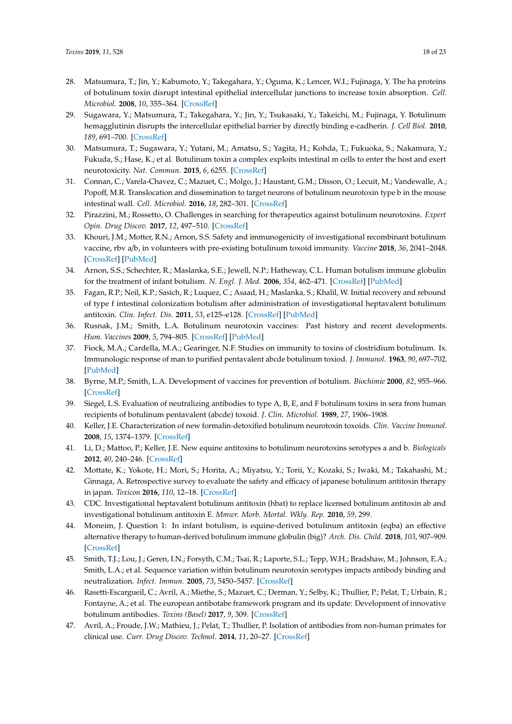- <span id="page-17-0"></span>28. Matsumura, T.; Jin, Y.; Kabumoto, Y.; Takegahara, Y.; Oguma, K.; Lencer, W.I.; Fujinaga, Y. The ha proteins of botulinum toxin disrupt intestinal epithelial intercellular junctions to increase toxin absorption. *Cell. Microbiol.* **2008**, *10*, 355–364. [\[CrossRef\]](http://dx.doi.org/10.1111/j.1462-5822.2007.01048.x)
- <span id="page-17-1"></span>29. Sugawara, Y.; Matsumura, T.; Takegahara, Y.; Jin, Y.; Tsukasaki, Y.; Takeichi, M.; Fujinaga, Y. Botulinum hemagglutinin disrupts the intercellular epithelial barrier by directly binding e-cadherin. *J. Cell Biol.* **2010**, *189*, 691–700. [\[CrossRef\]](http://dx.doi.org/10.1083/jcb.200910119)
- <span id="page-17-2"></span>30. Matsumura, T.; Sugawara, Y.; Yutani, M.; Amatsu, S.; Yagita, H.; Kohda, T.; Fukuoka, S.; Nakamura, Y.; Fukuda, S.; Hase, K.; et al. Botulinum toxin a complex exploits intestinal m cells to enter the host and exert neurotoxicity. *Nat. Commun.* **2015**, *6*, 6255. [\[CrossRef\]](http://dx.doi.org/10.1038/ncomms7255)
- <span id="page-17-3"></span>31. Connan, C.; Varela-Chavez, C.; Mazuet, C.; Molgo, J.; Haustant, G.M.; Disson, O.; Lecuit, M.; Vandewalle, A.; Popoff, M.R. Translocation and dissemination to target neurons of botulinum neurotoxin type b in the mouse intestinal wall. *Cell. Microbiol.* **2016**, *18*, 282–301. [\[CrossRef\]](http://dx.doi.org/10.1111/cmi.12502)
- <span id="page-17-4"></span>32. Pirazzini, M.; Rossetto, O. Challenges in searching for therapeutics against botulinum neurotoxins. *Expert Opin. Drug Discov.* **2017**, *12*, 497–510. [\[CrossRef\]](http://dx.doi.org/10.1080/17460441.2017.1303476)
- <span id="page-17-5"></span>33. Khouri, J.M.; Motter, R.N.; Arnon, S.S. Safety and immunogenicity of investigational recombinant botulinum vaccine, rbv a/b, in volunteers with pre-existing botulinum toxoid immunity. *Vaccine* **2018**, *36*, 2041–2048. [\[CrossRef\]](http://dx.doi.org/10.1016/j.vaccine.2018.02.042) [\[PubMed\]](http://www.ncbi.nlm.nih.gov/pubmed/29475762)
- <span id="page-17-6"></span>34. Arnon, S.S.; Schechter, R.; Maslanka, S.E.; Jewell, N.P.; Hatheway, C.L. Human botulism immune globulin for the treatment of infant botulism. *N. Engl. J. Med.* **2006**, *354*, 462–471. [\[CrossRef\]](http://dx.doi.org/10.1056/NEJMoa051926) [\[PubMed\]](http://www.ncbi.nlm.nih.gov/pubmed/16452558)
- <span id="page-17-7"></span>35. Fagan, R.P.; Neil, K.P.; Sasich, R.; Luquez, C.; Asaad, H.; Maslanka, S.; Khalil, W. Initial recovery and rebound of type f intestinal colonization botulism after administration of investigational heptavalent botulinum antitoxin. *Clin. Infect. Dis.* **2011**, *53*, e125–e128. [\[CrossRef\]](http://dx.doi.org/10.1093/cid/cir550) [\[PubMed\]](http://www.ncbi.nlm.nih.gov/pubmed/21896700)
- <span id="page-17-8"></span>36. Rusnak, J.M.; Smith, L.A. Botulinum neurotoxin vaccines: Past history and recent developments. *Hum. Vaccines* **2009**, *5*, 794–805. [\[CrossRef\]](http://dx.doi.org/10.4161/hv.9420) [\[PubMed\]](http://www.ncbi.nlm.nih.gov/pubmed/19684478)
- <span id="page-17-9"></span>37. Fiock, M.A.; Cardella, M.A.; Gearinger, N.F. Studies on immunity to toxins of clostridium botulinum. Ix. Immunologic response of man to purified pentavalent abcde botulinum toxiod. *J. Immunol.* **1963**, *90*, 697–702. [\[PubMed\]](http://www.ncbi.nlm.nih.gov/pubmed/14054890)
- 38. Byrne, M.P.; Smith, L.A. Development of vaccines for prevention of botulism. *Biochimie* **2000**, *82*, 955–966. [\[CrossRef\]](http://dx.doi.org/10.1016/S0300-9084(00)01173-1)
- <span id="page-17-10"></span>39. Siegel, L.S. Evaluation of neutralizing antibodies to type A, B, E, and F botulinum toxins in sera from human recipients of botulinum pentavalent (abcde) toxoid. *J. Clin. Microbiol.* **1989**, *27*, 1906–1908.
- <span id="page-17-11"></span>40. Keller, J.E. Characterization of new formalin-detoxified botulinum neurotoxin toxoids. *Clin. Vaccine Immunol.* **2008**, *15*, 1374–1379. [\[CrossRef\]](http://dx.doi.org/10.1128/CVI.00117-08)
- <span id="page-17-12"></span>41. Li, D.; Mattoo, P.; Keller, J.E. New equine antitoxins to botulinum neurotoxins serotypes a and b. *Biologicals* **2012**, *40*, 240–246. [\[CrossRef\]](http://dx.doi.org/10.1016/j.biologicals.2012.03.004)
- <span id="page-17-13"></span>42. Mottate, K.; Yokote, H.; Mori, S.; Horita, A.; Miyatsu, Y.; Torii, Y.; Kozaki, S.; Iwaki, M.; Takahashi, M.; Ginnaga, A. Retrospective survey to evaluate the safety and efficacy of japanese botulinum antitoxin therapy in japan. *Toxicon* **2016**, *110*, 12–18. [\[CrossRef\]](http://dx.doi.org/10.1016/j.toxicon.2015.11.010)
- <span id="page-17-14"></span>43. CDC. Investigational heptavalent botulinum antitoxin (hbat) to replace licensed botulinum antitoxin ab and investigational botulinum antitoxin E. *Mmwr. Morb. Mortal. Wkly. Rep.* **2010**, *59*, 299.
- <span id="page-17-15"></span>Moneim, J. Question 1: In infant botulism, is equine-derived botulinum antitoxin (eqba) an effective alternative therapy to human-derived botulinum immune globulin (big)? *Arch. Dis. Child.* **2018**, *103*, 907–909. [\[CrossRef\]](http://dx.doi.org/10.1136/archdischild-2018-315498)
- <span id="page-17-16"></span>45. Smith, T.J.; Lou, J.; Geren, I.N.; Forsyth, C.M.; Tsai, R.; Laporte, S.L.; Tepp, W.H.; Bradshaw, M.; Johnson, E.A.; Smith, L.A.; et al. Sequence variation within botulinum neurotoxin serotypes impacts antibody binding and neutralization. *Infect. Immun.* **2005**, *73*, 5450–5457. [\[CrossRef\]](http://dx.doi.org/10.1128/IAI.73.9.5450-5457.2005)
- <span id="page-17-17"></span>46. Rasetti-Escargueil, C.; Avril, A.; Miethe, S.; Mazuet, C.; Derman, Y.; Selby, K.; Thullier, P.; Pelat, T.; Urbain, R.; Fontayne, A.; et al. The european antibotabe framework program and its update: Development of innovative botulinum antibodies. *Toxins (Basel)* **2017**, *9*, 309. [\[CrossRef\]](http://dx.doi.org/10.3390/toxins9100309)
- <span id="page-17-18"></span>47. Avril, A.; Froude, J.W.; Mathieu, J.; Pelat, T.; Thullier, P. Isolation of antibodies from non-human primates for clinical use. *Curr. Drug Discov. Technol.* **2014**, *11*, 20–27. [\[CrossRef\]](http://dx.doi.org/10.2174/15701638113109990030)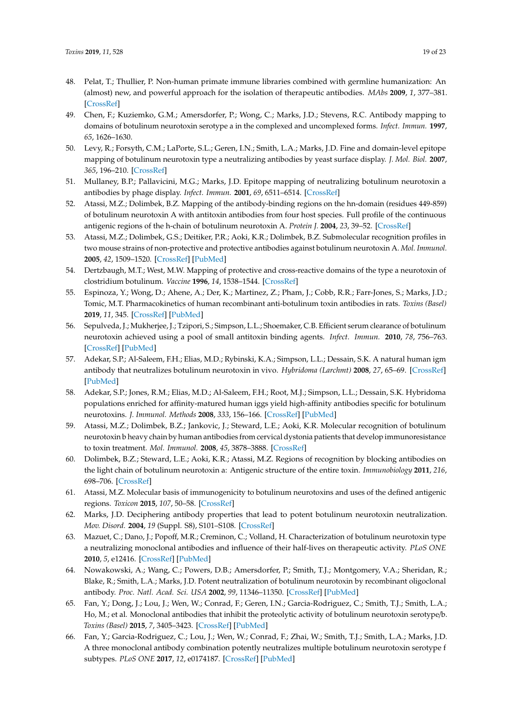- <span id="page-18-0"></span>48. Pelat, T.; Thullier, P. Non-human primate immune libraries combined with germline humanization: An (almost) new, and powerful approach for the isolation of therapeutic antibodies. *MAbs* **2009**, *1*, 377–381. [\[CrossRef\]](http://dx.doi.org/10.4161/mabs.1.4.8635)
- <span id="page-18-1"></span>49. Chen, F.; Kuziemko, G.M.; Amersdorfer, P.; Wong, C.; Marks, J.D.; Stevens, R.C. Antibody mapping to domains of botulinum neurotoxin serotype a in the complexed and uncomplexed forms. *Infect. Immun.* **1997**, *65*, 1626–1630.
- <span id="page-18-2"></span>50. Levy, R.; Forsyth, C.M.; LaPorte, S.L.; Geren, I.N.; Smith, L.A.; Marks, J.D. Fine and domain-level epitope mapping of botulinum neurotoxin type a neutralizing antibodies by yeast surface display. *J. Mol. Biol.* **2007**, *365*, 196–210. [\[CrossRef\]](http://dx.doi.org/10.1016/j.jmb.2006.09.084)
- 51. Mullaney, B.P.; Pallavicini, M.G.; Marks, J.D. Epitope mapping of neutralizing botulinum neurotoxin a antibodies by phage display. *Infect. Immun.* **2001**, *69*, 6511–6514. [\[CrossRef\]](http://dx.doi.org/10.1128/IAI.69.10.6511-6514.2001)
- 52. Atassi, M.Z.; Dolimbek, B.Z. Mapping of the antibody-binding regions on the hn-domain (residues 449-859) of botulinum neurotoxin A with antitoxin antibodies from four host species. Full profile of the continuous antigenic regions of the h-chain of botulinum neurotoxin A. *Protein J.* **2004**, *23*, 39–52. [\[CrossRef\]](http://dx.doi.org/10.1023/B:JOPC.0000016257.91979.06)
- 53. Atassi, M.Z.; Dolimbek, G.S.; Deitiker, P.R.; Aoki, K.R.; Dolimbek, B.Z. Submolecular recognition profiles in two mouse strains of non-protective and protective antibodies against botulinum neurotoxin A. *Mol. Immunol.* **2005**, *42*, 1509–1520. [\[CrossRef\]](http://dx.doi.org/10.1016/j.molimm.2005.01.016) [\[PubMed\]](http://www.ncbi.nlm.nih.gov/pubmed/15950744)
- <span id="page-18-3"></span>54. Dertzbaugh, M.T.; West, M.W. Mapping of protective and cross-reactive domains of the type a neurotoxin of clostridium botulinum. *Vaccine* **1996**, *14*, 1538–1544. [\[CrossRef\]](http://dx.doi.org/10.1016/S0264-410X(96)00094-1)
- <span id="page-18-4"></span>55. Espinoza, Y.; Wong, D.; Ahene, A.; Der, K.; Martinez, Z.; Pham, J.; Cobb, R.R.; Farr-Jones, S.; Marks, J.D.; Tomic, M.T. Pharmacokinetics of human recombinant anti-botulinum toxin antibodies in rats. *Toxins (Basel)* **2019**, *11*, 345. [\[CrossRef\]](http://dx.doi.org/10.3390/toxins11060345) [\[PubMed\]](http://www.ncbi.nlm.nih.gov/pubmed/31212950)
- <span id="page-18-5"></span>56. Sepulveda, J.; Mukherjee, J.; Tzipori, S.; Simpson, L.L.; Shoemaker, C.B. Efficient serum clearance of botulinum neurotoxin achieved using a pool of small antitoxin binding agents. *Infect. Immun.* **2010**, *78*, 756–763. [\[CrossRef\]](http://dx.doi.org/10.1128/IAI.01084-09) [\[PubMed\]](http://www.ncbi.nlm.nih.gov/pubmed/19917718)
- <span id="page-18-6"></span>57. Adekar, S.P.; Al-Saleem, F.H.; Elias, M.D.; Rybinski, K.A.; Simpson, L.L.; Dessain, S.K. A natural human igm antibody that neutralizes botulinum neurotoxin in vivo. *Hybridoma (Larchmt)* **2008**, *27*, 65–69. [\[CrossRef\]](http://dx.doi.org/10.1089/hyb.2007.0549) [\[PubMed\]](http://www.ncbi.nlm.nih.gov/pubmed/18642670)
- <span id="page-18-7"></span>58. Adekar, S.P.; Jones, R.M.; Elias, M.D.; Al-Saleem, F.H.; Root, M.J.; Simpson, L.L.; Dessain, S.K. Hybridoma populations enriched for affinity-matured human iggs yield high-affinity antibodies specific for botulinum neurotoxins. *J. Immunol. Methods* **2008**, *333*, 156–166. [\[CrossRef\]](http://dx.doi.org/10.1016/j.jim.2008.01.015) [\[PubMed\]](http://www.ncbi.nlm.nih.gov/pubmed/18313069)
- <span id="page-18-8"></span>59. Atassi, M.Z.; Dolimbek, B.Z.; Jankovic, J.; Steward, L.E.; Aoki, K.R. Molecular recognition of botulinum neurotoxin b heavy chain by human antibodies from cervical dystonia patients that develop immunoresistance to toxin treatment. *Mol. Immunol.* **2008**, *45*, 3878–3888. [\[CrossRef\]](http://dx.doi.org/10.1016/j.molimm.2008.06.031)
- <span id="page-18-9"></span>60. Dolimbek, B.Z.; Steward, L.E.; Aoki, K.R.; Atassi, M.Z. Regions of recognition by blocking antibodies on the light chain of botulinum neurotoxin a: Antigenic structure of the entire toxin. *Immunobiology* **2011**, *216*, 698–706. [\[CrossRef\]](http://dx.doi.org/10.1016/j.imbio.2010.10.010)
- <span id="page-18-10"></span>61. Atassi, M.Z. Molecular basis of immunogenicity to botulinum neurotoxins and uses of the defined antigenic regions. *Toxicon* **2015**, *107*, 50–58. [\[CrossRef\]](http://dx.doi.org/10.1016/j.toxicon.2015.06.003)
- <span id="page-18-11"></span>62. Marks, J.D. Deciphering antibody properties that lead to potent botulinum neurotoxin neutralization. *Mov. Disord.* **2004**, *19* (Suppl. S8), S101–S108. [\[CrossRef\]](http://dx.doi.org/10.1002/mds.20023)
- <span id="page-18-13"></span>63. Mazuet, C.; Dano, J.; Popoff, M.R.; Creminon, C.; Volland, H. Characterization of botulinum neurotoxin type a neutralizing monoclonal antibodies and influence of their half-lives on therapeutic activity. *PLoS ONE* **2010**, *5*, e12416. [\[CrossRef\]](http://dx.doi.org/10.1371/journal.pone.0012416) [\[PubMed\]](http://www.ncbi.nlm.nih.gov/pubmed/20865035)
- <span id="page-18-12"></span>64. Nowakowski, A.; Wang, C.; Powers, D.B.; Amersdorfer, P.; Smith, T.J.; Montgomery, V.A.; Sheridan, R.; Blake, R.; Smith, L.A.; Marks, J.D. Potent neutralization of botulinum neurotoxin by recombinant oligoclonal antibody. *Proc. Natl. Acad. Sci. USA* **2002**, *99*, 11346–11350. [\[CrossRef\]](http://dx.doi.org/10.1073/pnas.172229899) [\[PubMed\]](http://www.ncbi.nlm.nih.gov/pubmed/12177434)
- 65. Fan, Y.; Dong, J.; Lou, J.; Wen, W.; Conrad, F.; Geren, I.N.; Garcia-Rodriguez, C.; Smith, T.J.; Smith, L.A.; Ho, M.; et al. Monoclonal antibodies that inhibit the proteolytic activity of botulinum neurotoxin serotype/b. *Toxins (Basel)* **2015**, *7*, 3405–3423. [\[CrossRef\]](http://dx.doi.org/10.3390/toxins7093405) [\[PubMed\]](http://www.ncbi.nlm.nih.gov/pubmed/26343720)
- 66. Fan, Y.; Garcia-Rodriguez, C.; Lou, J.; Wen, W.; Conrad, F.; Zhai, W.; Smith, T.J.; Smith, L.A.; Marks, J.D. A three monoclonal antibody combination potently neutralizes multiple botulinum neurotoxin serotype f subtypes. *PLoS ONE* **2017**, *12*, e0174187. [\[CrossRef\]](http://dx.doi.org/10.1371/journal.pone.0174187) [\[PubMed\]](http://www.ncbi.nlm.nih.gov/pubmed/28323873)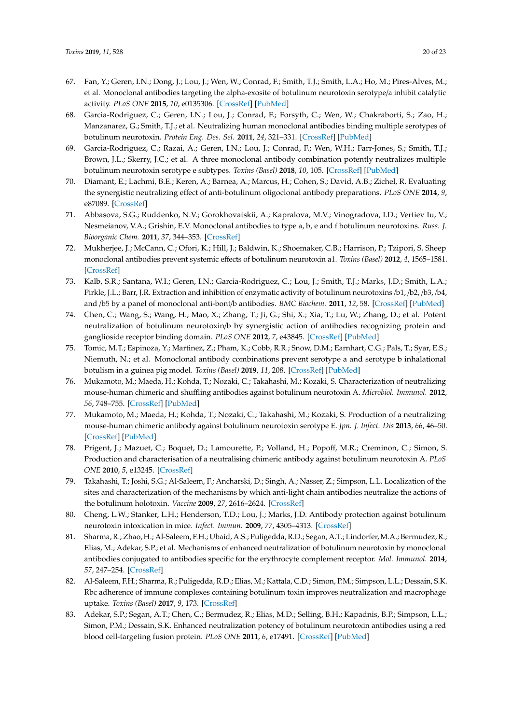- <span id="page-19-15"></span>67. Fan, Y.; Geren, I.N.; Dong, J.; Lou, J.; Wen, W.; Conrad, F.; Smith, T.J.; Smith, L.A.; Ho, M.; Pires-Alves, M.; et al. Monoclonal antibodies targeting the alpha-exosite of botulinum neurotoxin serotype/a inhibit catalytic activity. *PLoS ONE* **2015**, *10*, e0135306. [\[CrossRef\]](http://dx.doi.org/10.1371/journal.pone.0135306) [\[PubMed\]](http://www.ncbi.nlm.nih.gov/pubmed/26275214)
- <span id="page-19-16"></span>68. Garcia-Rodriguez, C.; Geren, I.N.; Lou, J.; Conrad, F.; Forsyth, C.; Wen, W.; Chakraborti, S.; Zao, H.; Manzanarez, G.; Smith, T.J.; et al. Neutralizing human monoclonal antibodies binding multiple serotypes of botulinum neurotoxin. *Protein Eng. Des. Sel.* **2011**, *24*, 321–331. [\[CrossRef\]](http://dx.doi.org/10.1093/protein/gzq111) [\[PubMed\]](http://www.ncbi.nlm.nih.gov/pubmed/21149386)
- <span id="page-19-0"></span>69. Garcia-Rodriguez, C.; Razai, A.; Geren, I.N.; Lou, J.; Conrad, F.; Wen, W.H.; Farr-Jones, S.; Smith, T.J.; Brown, J.L.; Skerry, J.C.; et al. A three monoclonal antibody combination potently neutralizes multiple botulinum neurotoxin serotype e subtypes. *Toxins (Basel)* **2018**, *10*, 105. [\[CrossRef\]](http://dx.doi.org/10.3390/toxins10030105) [\[PubMed\]](http://www.ncbi.nlm.nih.gov/pubmed/29494481)
- <span id="page-19-1"></span>70. Diamant, E.; Lachmi, B.E.; Keren, A.; Barnea, A.; Marcus, H.; Cohen, S.; David, A.B.; Zichel, R. Evaluating the synergistic neutralizing effect of anti-botulinum oligoclonal antibody preparations. *PLoS ONE* **2014**, *9*, e87089. [\[CrossRef\]](http://dx.doi.org/10.1371/journal.pone.0087089)
- <span id="page-19-2"></span>71. Abbasova, S.G.; Ruddenko, N.V.; Gorokhovatskii, A.; Kapralova, M.V.; Vinogradova, I.D.; Vertiev Iu, V.; Nesmeianov, V.A.; Grishin, E.V. Monoclonal antibodies to type a, b, e and f botulinum neurotoxins. *Russ. J. Bioorganic Chem.* **2011**, *37*, 344–353. [\[CrossRef\]](http://dx.doi.org/10.1134/S1068162011030022)
- <span id="page-19-3"></span>72. Mukherjee, J.; McCann, C.; Ofori, K.; Hill, J.; Baldwin, K.; Shoemaker, C.B.; Harrison, P.; Tzipori, S. Sheep monoclonal antibodies prevent systemic effects of botulinum neurotoxin a1. *Toxins (Basel)* **2012**, *4*, 1565–1581. [\[CrossRef\]](http://dx.doi.org/10.3390/toxins4121565)
- <span id="page-19-4"></span>73. Kalb, S.R.; Santana, W.I.; Geren, I.N.; Garcia-Rodriguez, C.; Lou, J.; Smith, T.J.; Marks, J.D.; Smith, L.A.; Pirkle, J.L.; Barr, J.R. Extraction and inhibition of enzymatic activity of botulinum neurotoxins /b1, /b2, /b3, /b4, and /b5 by a panel of monoclonal anti-bont/b antibodies. *BMC Biochem.* **2011**, *12*, 58. [\[CrossRef\]](http://dx.doi.org/10.1186/1471-2091-12-58) [\[PubMed\]](http://www.ncbi.nlm.nih.gov/pubmed/22085466)
- <span id="page-19-5"></span>74. Chen, C.; Wang, S.; Wang, H.; Mao, X.; Zhang, T.; Ji, G.; Shi, X.; Xia, T.; Lu, W.; Zhang, D.; et al. Potent neutralization of botulinum neurotoxin/b by synergistic action of antibodies recognizing protein and ganglioside receptor binding domain. *PLoS ONE* **2012**, *7*, e43845. [\[CrossRef\]](http://dx.doi.org/10.1371/journal.pone.0043845) [\[PubMed\]](http://www.ncbi.nlm.nih.gov/pubmed/22952786)
- <span id="page-19-6"></span>75. Tomic, M.T.; Espinoza, Y.; Martinez, Z.; Pham, K.; Cobb, R.R.; Snow, D.M.; Earnhart, C.G.; Pals, T.; Syar, E.S.; Niemuth, N.; et al. Monoclonal antibody combinations prevent serotype a and serotype b inhalational botulism in a guinea pig model. *Toxins (Basel)* **2019**, *11*, 208. [\[CrossRef\]](http://dx.doi.org/10.3390/toxins11040208) [\[PubMed\]](http://www.ncbi.nlm.nih.gov/pubmed/30959899)
- <span id="page-19-7"></span>76. Mukamoto, M.; Maeda, H.; Kohda, T.; Nozaki, C.; Takahashi, M.; Kozaki, S. Characterization of neutralizing mouse-human chimeric and shuffling antibodies against botulinum neurotoxin A. *Microbiol. Immunol.* **2012**, *56*, 748–755. [\[CrossRef\]](http://dx.doi.org/10.1111/j.1348-0421.2012.00503.x) [\[PubMed\]](http://www.ncbi.nlm.nih.gov/pubmed/22938032)
- <span id="page-19-8"></span>77. Mukamoto, M.; Maeda, H.; Kohda, T.; Nozaki, C.; Takahashi, M.; Kozaki, S. Production of a neutralizing mouse-human chimeric antibody against botulinum neurotoxin serotype E. *Jpn. J. Infect. Dis* **2013**, *66*, 46–50. [\[CrossRef\]](http://dx.doi.org/10.7883/yoken.66.46) [\[PubMed\]](http://www.ncbi.nlm.nih.gov/pubmed/23429085)
- <span id="page-19-9"></span>78. Prigent, J.; Mazuet, C.; Boquet, D.; Lamourette, P.; Volland, H.; Popoff, M.R.; Creminon, C.; Simon, S. Production and characterisation of a neutralising chimeric antibody against botulinum neurotoxin A. *PLoS ONE* **2010**, *5*, e13245. [\[CrossRef\]](http://dx.doi.org/10.1371/journal.pone.0013245)
- <span id="page-19-10"></span>79. Takahashi, T.; Joshi, S.G.; Al-Saleem, F.; Ancharski, D.; Singh, A.; Nasser, Z.; Simpson, L.L. Localization of the sites and characterization of the mechanisms by which anti-light chain antibodies neutralize the actions of the botulinum holotoxin. *Vaccine* **2009**, *27*, 2616–2624. [\[CrossRef\]](http://dx.doi.org/10.1016/j.vaccine.2009.02.051)
- <span id="page-19-11"></span>80. Cheng, L.W.; Stanker, L.H.; Henderson, T.D.; Lou, J.; Marks, J.D. Antibody protection against botulinum neurotoxin intoxication in mice. *Infect. Immun.* **2009**, *77*, 4305–4313. [\[CrossRef\]](http://dx.doi.org/10.1128/IAI.00405-09)
- <span id="page-19-12"></span>81. Sharma, R.; Zhao, H.; Al-Saleem, F.H.; Ubaid, A.S.; Puligedda, R.D.; Segan, A.T.; Lindorfer, M.A.; Bermudez, R.; Elias, M.; Adekar, S.P.; et al. Mechanisms of enhanced neutralization of botulinum neurotoxin by monoclonal antibodies conjugated to antibodies specific for the erythrocyte complement receptor. *Mol. Immunol.* **2014**, *57*, 247–254. [\[CrossRef\]](http://dx.doi.org/10.1016/j.molimm.2013.09.005)
- <span id="page-19-13"></span>82. Al-Saleem, F.H.; Sharma, R.; Puligedda, R.D.; Elias, M.; Kattala, C.D.; Simon, P.M.; Simpson, L.L.; Dessain, S.K. Rbc adherence of immune complexes containing botulinum toxin improves neutralization and macrophage uptake. *Toxins (Basel)* **2017**, *9*, 173. [\[CrossRef\]](http://dx.doi.org/10.3390/toxins9050173)
- <span id="page-19-14"></span>83. Adekar, S.P.; Segan, A.T.; Chen, C.; Bermudez, R.; Elias, M.D.; Selling, B.H.; Kapadnis, B.P.; Simpson, L.L.; Simon, P.M.; Dessain, S.K. Enhanced neutralization potency of botulinum neurotoxin antibodies using a red blood cell-targeting fusion protein. *PLoS ONE* **2011**, *6*, e17491. [\[CrossRef\]](http://dx.doi.org/10.1371/journal.pone.0017491) [\[PubMed\]](http://www.ncbi.nlm.nih.gov/pubmed/21399689)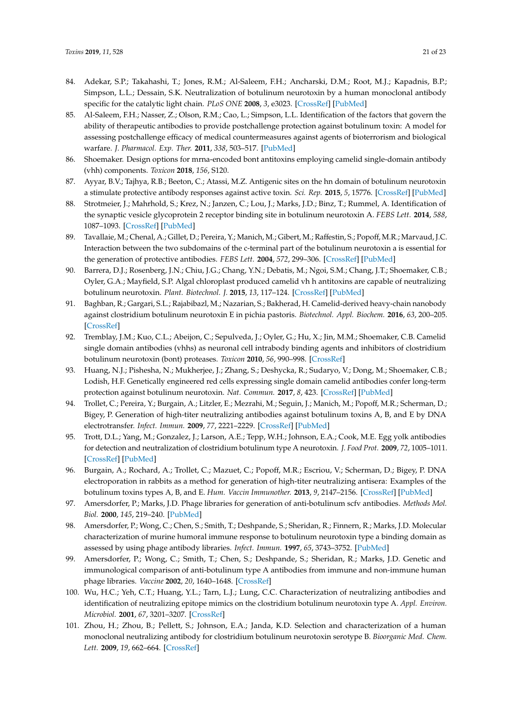- <span id="page-20-0"></span>84. Adekar, S.P.; Takahashi, T.; Jones, R.M.; Al-Saleem, F.H.; Ancharski, D.M.; Root, M.J.; Kapadnis, B.P.; Simpson, L.L.; Dessain, S.K. Neutralization of botulinum neurotoxin by a human monoclonal antibody specific for the catalytic light chain. *PLoS ONE* **2008**, *3*, e3023. [\[CrossRef\]](http://dx.doi.org/10.1371/journal.pone.0003023) [\[PubMed\]](http://www.ncbi.nlm.nih.gov/pubmed/18714390)
- <span id="page-20-1"></span>85. Al-Saleem, F.H.; Nasser, Z.; Olson, R.M.; Cao, L.; Simpson, L.L. Identification of the factors that govern the ability of therapeutic antibodies to provide postchallenge protection against botulinum toxin: A model for assessing postchallenge efficacy of medical countermeasures against agents of bioterrorism and biological warfare. *J. Pharmacol. Exp. Ther.* **2011**, *338*, 503–517. [\[PubMed\]](http://www.ncbi.nlm.nih.gov/pubmed/21586604)
- <span id="page-20-2"></span>86. Shoemaker. Design options for mrna-encoded bont antitoxins employing camelid single-domain antibody (vhh) components. *Toxicon* **2018**, *156*, S120.
- <span id="page-20-3"></span>87. Ayyar, B.V.; Tajhya, R.B.; Beeton, C.; Atassi, M.Z. Antigenic sites on the hn domain of botulinum neurotoxin a stimulate protective antibody responses against active toxin. *Sci. Rep.* **2015**, *5*, 15776. [\[CrossRef\]](http://dx.doi.org/10.1038/srep15776) [\[PubMed\]](http://www.ncbi.nlm.nih.gov/pubmed/26508475)
- <span id="page-20-4"></span>88. Strotmeier, J.; Mahrhold, S.; Krez, N.; Janzen, C.; Lou, J.; Marks, J.D.; Binz, T.; Rummel, A. Identification of the synaptic vesicle glycoprotein 2 receptor binding site in botulinum neurotoxin A. *FEBS Lett.* **2014**, *588*, 1087–1093. [\[CrossRef\]](http://dx.doi.org/10.1016/j.febslet.2014.02.034) [\[PubMed\]](http://www.ncbi.nlm.nih.gov/pubmed/24583011)
- <span id="page-20-5"></span>89. Tavallaie, M.; Chenal, A.; Gillet, D.; Pereira, Y.; Manich, M.; Gibert, M.; Raffestin, S.; Popoff, M.R.; Marvaud, J.C. Interaction between the two subdomains of the c-terminal part of the botulinum neurotoxin a is essential for the generation of protective antibodies. *FEBS Lett.* **2004**, *572*, 299–306. [\[CrossRef\]](http://dx.doi.org/10.1016/j.febslet.2004.06.094) [\[PubMed\]](http://www.ncbi.nlm.nih.gov/pubmed/15304366)
- <span id="page-20-6"></span>90. Barrera, D.J.; Rosenberg, J.N.; Chiu, J.G.; Chang, Y.N.; Debatis, M.; Ngoi, S.M.; Chang, J.T.; Shoemaker, C.B.; Oyler, G.A.; Mayfield, S.P. Algal chloroplast produced camelid vh h antitoxins are capable of neutralizing botulinum neurotoxin. *Plant. Biotechnol. J.* **2015**, *13*, 117–124. [\[CrossRef\]](http://dx.doi.org/10.1111/pbi.12244) [\[PubMed\]](http://www.ncbi.nlm.nih.gov/pubmed/25229405)
- <span id="page-20-7"></span>91. Baghban, R.; Gargari, S.L.; Rajabibazl, M.; Nazarian, S.; Bakherad, H. Camelid-derived heavy-chain nanobody against clostridium botulinum neurotoxin E in pichia pastoris. *Biotechnol. Appl. Biochem.* **2016**, *63*, 200–205. [\[CrossRef\]](http://dx.doi.org/10.1002/bab.1226)
- <span id="page-20-8"></span>92. Tremblay, J.M.; Kuo, C.L.; Abeijon, C.; Sepulveda, J.; Oyler, G.; Hu, X.; Jin, M.M.; Shoemaker, C.B. Camelid single domain antibodies (vhhs) as neuronal cell intrabody binding agents and inhibitors of clostridium botulinum neurotoxin (bont) proteases. *Toxicon* **2010**, *56*, 990–998. [\[CrossRef\]](http://dx.doi.org/10.1016/j.toxicon.2010.07.003)
- <span id="page-20-9"></span>93. Huang, N.J.; Pishesha, N.; Mukherjee, J.; Zhang, S.; Deshycka, R.; Sudaryo, V.; Dong, M.; Shoemaker, C.B.; Lodish, H.F. Genetically engineered red cells expressing single domain camelid antibodies confer long-term protection against botulinum neurotoxin. *Nat. Commun.* **2017**, *8*, 423. [\[CrossRef\]](http://dx.doi.org/10.1038/s41467-017-00448-0) [\[PubMed\]](http://www.ncbi.nlm.nih.gov/pubmed/28871080)
- <span id="page-20-10"></span>94. Trollet, C.; Pereira, Y.; Burgain, A.; Litzler, E.; Mezrahi, M.; Seguin, J.; Manich, M.; Popoff, M.R.; Scherman, D.; Bigey, P. Generation of high-titer neutralizing antibodies against botulinum toxins A, B, and E by DNA electrotransfer. *Infect. Immun.* **2009**, *77*, 2221–2229. [\[CrossRef\]](http://dx.doi.org/10.1128/IAI.01269-08) [\[PubMed\]](http://www.ncbi.nlm.nih.gov/pubmed/19237523)
- <span id="page-20-11"></span>95. Trott, D.L.; Yang, M.; Gonzalez, J.; Larson, A.E.; Tepp, W.H.; Johnson, E.A.; Cook, M.E. Egg yolk antibodies for detection and neutralization of clostridium botulinum type A neurotoxin. *J. Food Prot.* **2009**, *72*, 1005–1011. [\[CrossRef\]](http://dx.doi.org/10.4315/0362-028X-72.5.1005) [\[PubMed\]](http://www.ncbi.nlm.nih.gov/pubmed/19517727)
- <span id="page-20-12"></span>96. Burgain, A.; Rochard, A.; Trollet, C.; Mazuet, C.; Popoff, M.R.; Escriou, V.; Scherman, D.; Bigey, P. DNA electroporation in rabbits as a method for generation of high-titer neutralizing antisera: Examples of the botulinum toxins types A, B, and E. *Hum. Vaccin Immunother.* **2013**, *9*, 2147–2156. [\[CrossRef\]](http://dx.doi.org/10.4161/hv.25192) [\[PubMed\]](http://www.ncbi.nlm.nih.gov/pubmed/23877030)
- <span id="page-20-13"></span>97. Amersdorfer, P.; Marks, J.D. Phage libraries for generation of anti-botulinum scfv antibodies. *Methods Mol. Biol.* **2000**, *145*, 219–240. [\[PubMed\]](http://www.ncbi.nlm.nih.gov/pubmed/10820725)
- <span id="page-20-14"></span>98. Amersdorfer, P.; Wong, C.; Chen, S.; Smith, T.; Deshpande, S.; Sheridan, R.; Finnern, R.; Marks, J.D. Molecular characterization of murine humoral immune response to botulinum neurotoxin type a binding domain as assessed by using phage antibody libraries. *Infect. Immun.* **1997**, *65*, 3743–3752. [\[PubMed\]](http://www.ncbi.nlm.nih.gov/pubmed/9284147)
- <span id="page-20-15"></span>99. Amersdorfer, P.; Wong, C.; Smith, T.; Chen, S.; Deshpande, S.; Sheridan, R.; Marks, J.D. Genetic and immunological comparison of anti-botulinum type A antibodies from immune and non-immune human phage libraries. *Vaccine* **2002**, *20*, 1640–1648. [\[CrossRef\]](http://dx.doi.org/10.1016/S0264-410X(01)00482-0)
- <span id="page-20-16"></span>100. Wu, H.C.; Yeh, C.T.; Huang, Y.L.; Tarn, L.J.; Lung, C.C. Characterization of neutralizing antibodies and identification of neutralizing epitope mimics on the clostridium botulinum neurotoxin type A. *Appl. Environ. Microbiol.* **2001**, *67*, 3201–3207. [\[CrossRef\]](http://dx.doi.org/10.1128/AEM.67.7.3201-3207.2001)
- <span id="page-20-17"></span>101. Zhou, H.; Zhou, B.; Pellett, S.; Johnson, E.A.; Janda, K.D. Selection and characterization of a human monoclonal neutralizing antibody for clostridium botulinum neurotoxin serotype B. *Bioorganic Med. Chem. Lett.* **2009**, *19*, 662–664. [\[CrossRef\]](http://dx.doi.org/10.1016/j.bmcl.2008.12.055)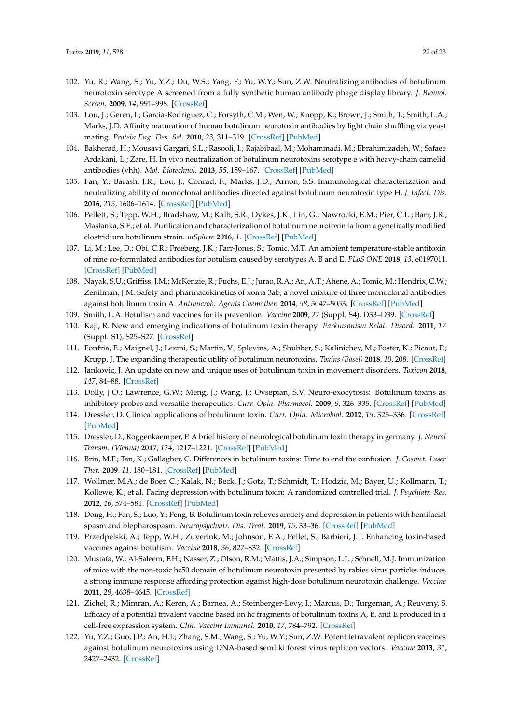- <span id="page-21-0"></span>102. Yu, R.; Wang, S.; Yu, Y.Z.; Du, W.S.; Yang, F.; Yu, W.Y.; Sun, Z.W. Neutralizing antibodies of botulinum neurotoxin serotype A screened from a fully synthetic human antibody phage display library. *J. Biomol. Screen.* **2009**, *14*, 991–998. [\[CrossRef\]](http://dx.doi.org/10.1177/1087057109343206)
- <span id="page-21-1"></span>103. Lou, J.; Geren, I.; Garcia-Rodriguez, C.; Forsyth, C.M.; Wen, W.; Knopp, K.; Brown, J.; Smith, T.; Smith, L.A.; Marks, J.D. Affinity maturation of human botulinum neurotoxin antibodies by light chain shuffling via yeast mating. *Protein Eng. Des. Sel.* **2010**, *23*, 311–319. [\[CrossRef\]](http://dx.doi.org/10.1093/protein/gzq001) [\[PubMed\]](http://www.ncbi.nlm.nih.gov/pubmed/20156888)
- <span id="page-21-2"></span>104. Bakherad, H.; Mousavi Gargari, S.L.; Rasooli, I.; Rajabibazl, M.; Mohammadi, M.; Ebrahimizadeh, W.; Safaee Ardakani, L.; Zare, H. In vivo neutralization of botulinum neurotoxins serotype e with heavy-chain camelid antibodies (vhh). *Mol. Biotechnol.* **2013**, *55*, 159–167. [\[CrossRef\]](http://dx.doi.org/10.1007/s12033-013-9669-1) [\[PubMed\]](http://www.ncbi.nlm.nih.gov/pubmed/23666874)
- <span id="page-21-3"></span>105. Fan, Y.; Barash, J.R.; Lou, J.; Conrad, F.; Marks, J.D.; Arnon, S.S. Immunological characterization and neutralizing ability of monoclonal antibodies directed against botulinum neurotoxin type H. *J. Infect. Dis.* **2016**, *213*, 1606–1614. [\[CrossRef\]](http://dx.doi.org/10.1093/infdis/jiv770) [\[PubMed\]](http://www.ncbi.nlm.nih.gov/pubmed/26936913)
- <span id="page-21-4"></span>106. Pellett, S.; Tepp, W.H.; Bradshaw, M.; Kalb, S.R.; Dykes, J.K.; Lin, G.; Nawrocki, E.M.; Pier, C.L.; Barr, J.R.; Maslanka, S.E.; et al. Purification and characterization of botulinum neurotoxin fa from a genetically modified clostridium botulinum strain. *mSphere* **2016**, *1*. [\[CrossRef\]](http://dx.doi.org/10.1128/mSphere.00100-15) [\[PubMed\]](http://www.ncbi.nlm.nih.gov/pubmed/27303710)
- <span id="page-21-5"></span>107. Li, M.; Lee, D.; Obi, C.R.; Freeberg, J.K.; Farr-Jones, S.; Tomic, M.T. An ambient temperature-stable antitoxin of nine co-formulated antibodies for botulism caused by serotypes A, B and E. *PLoS ONE* **2018**, *13*, e0197011. [\[CrossRef\]](http://dx.doi.org/10.1371/journal.pone.0197011) [\[PubMed\]](http://www.ncbi.nlm.nih.gov/pubmed/29746518)
- <span id="page-21-6"></span>108. Nayak, S.U.; Griffiss, J.M.; McKenzie, R.; Fuchs, E.J.; Jurao, R.A.; An, A.T.; Ahene, A.; Tomic, M.; Hendrix, C.W.; Zenilman, J.M. Safety and pharmacokinetics of xoma 3ab, a novel mixture of three monoclonal antibodies against botulinum toxin A. *Antimicrob. Agents Chemother.* **2014**, *58*, 5047–5053. [\[CrossRef\]](http://dx.doi.org/10.1128/AAC.02830-14) [\[PubMed\]](http://www.ncbi.nlm.nih.gov/pubmed/24913160)
- <span id="page-21-7"></span>109. Smith, L.A. Botulism and vaccines for its prevention. *Vaccine* **2009**, *27* (Suppl. S4), D33–D39. [\[CrossRef\]](http://dx.doi.org/10.1016/j.vaccine.2009.08.059)
- <span id="page-21-8"></span>110. Kaji, R. New and emerging indications of botulinum toxin therapy. *Parkinsonism Relat. Disord.* **2011**, *17* (Suppl. S1), S25–S27. [\[CrossRef\]](http://dx.doi.org/10.1016/j.parkreldis.2011.06.017)
- 111. Fonfria, E.; Maignel, J.; Lezmi, S.; Martin, V.; Splevins, A.; Shubber, S.; Kalinichev, M.; Foster, K.; Picaut, P.; Krupp, J. The expanding therapeutic utility of botulinum neurotoxins. *Toxins (Basel)* **2018**, *10*, 208. [\[CrossRef\]](http://dx.doi.org/10.3390/toxins10050208)
- <span id="page-21-9"></span>112. Jankovic, J. An update on new and unique uses of botulinum toxin in movement disorders. *Toxicon* **2018**, *147*, 84–88. [\[CrossRef\]](http://dx.doi.org/10.1016/j.toxicon.2017.09.003)
- <span id="page-21-10"></span>113. Dolly, J.O.; Lawrence, G.W.; Meng, J.; Wang, J.; Ovsepian, S.V. Neuro-exocytosis: Botulinum toxins as inhibitory probes and versatile therapeutics. *Curr. Opin. Pharmacol.* **2009**, *9*, 326–335. [\[CrossRef\]](http://dx.doi.org/10.1016/j.coph.2009.03.004) [\[PubMed\]](http://www.ncbi.nlm.nih.gov/pubmed/19394272)
- 114. Dressler, D. Clinical applications of botulinum toxin. *Curr. Opin. Microbiol.* **2012**, *15*, 325–336. [\[CrossRef\]](http://dx.doi.org/10.1016/j.mib.2012.05.012) [\[PubMed\]](http://www.ncbi.nlm.nih.gov/pubmed/22770659)
- <span id="page-21-11"></span>115. Dressler, D.; Roggenkaemper, P. A brief history of neurological botulinum toxin therapy in germany. *J. Neural Transm. (Vienna)* **2017**, *124*, 1217–1221. [\[CrossRef\]](http://dx.doi.org/10.1007/s00702-017-1762-3) [\[PubMed\]](http://www.ncbi.nlm.nih.gov/pubmed/28733711)
- <span id="page-21-12"></span>116. Brin, M.F.; Tan, K.; Gallagher, C. Differences in botulinum toxins: Time to end the confusion. *J. Cosmet. Laser Ther.* **2009**, *11*, 180–181. [\[CrossRef\]](http://dx.doi.org/10.1080/14764170903137121) [\[PubMed\]](http://www.ncbi.nlm.nih.gov/pubmed/19626521)
- 117. Wollmer, M.A.; de Boer, C.; Kalak, N.; Beck, J.; Gotz, T.; Schmidt, T.; Hodzic, M.; Bayer, U.; Kollmann, T.; Kollewe, K.; et al. Facing depression with botulinum toxin: A randomized controlled trial. *J. Psychiatr. Res.* **2012**, *46*, 574–581. [\[CrossRef\]](http://dx.doi.org/10.1016/j.jpsychires.2012.01.027) [\[PubMed\]](http://www.ncbi.nlm.nih.gov/pubmed/22364892)
- <span id="page-21-13"></span>118. Dong, H.; Fan, S.; Luo, Y.; Peng, B. Botulinum toxin relieves anxiety and depression in patients with hemifacial spasm and blepharospasm. *Neuropsychiatr. Dis. Treat.* **2019**, *15*, 33–36. [\[CrossRef\]](http://dx.doi.org/10.2147/NDT.S181820) [\[PubMed\]](http://www.ncbi.nlm.nih.gov/pubmed/30587995)
- <span id="page-21-14"></span>119. Przedpelski, A.; Tepp, W.H.; Zuverink, M.; Johnson, E.A.; Pellet, S.; Barbieri, J.T. Enhancing toxin-based vaccines against botulism. *Vaccine* **2018**, *36*, 827–832. [\[CrossRef\]](http://dx.doi.org/10.1016/j.vaccine.2017.12.064)
- <span id="page-21-15"></span>120. Mustafa, W.; Al-Saleem, F.H.; Nasser, Z.; Olson, R.M.; Mattis, J.A.; Simpson, L.L.; Schnell, M.J. Immunization of mice with the non-toxic hc50 domain of botulinum neurotoxin presented by rabies virus particles induces a strong immune response affording protection against high-dose botulinum neurotoxin challenge. *Vaccine* **2011**, *29*, 4638–4645. [\[CrossRef\]](http://dx.doi.org/10.1016/j.vaccine.2011.04.045)
- 121. Zichel, R.; Mimran, A.; Keren, A.; Barnea, A.; Steinberger-Levy, I.; Marcus, D.; Turgeman, A.; Reuveny, S. Efficacy of a potential trivalent vaccine based on hc fragments of botulinum toxins A, B, and E produced in a cell-free expression system. *Clin. Vaccine Immunol.* **2010**, *17*, 784–792. [\[CrossRef\]](http://dx.doi.org/10.1128/CVI.00496-09)
- 122. Yu, Y.Z.; Guo, J.P.; An, H.J.; Zhang, S.M.; Wang, S.; Yu, W.Y.; Sun, Z.W. Potent tetravalent replicon vaccines against botulinum neurotoxins using DNA-based semliki forest virus replicon vectors. *Vaccine* **2013**, *31*, 2427–2432. [\[CrossRef\]](http://dx.doi.org/10.1016/j.vaccine.2013.03.046)